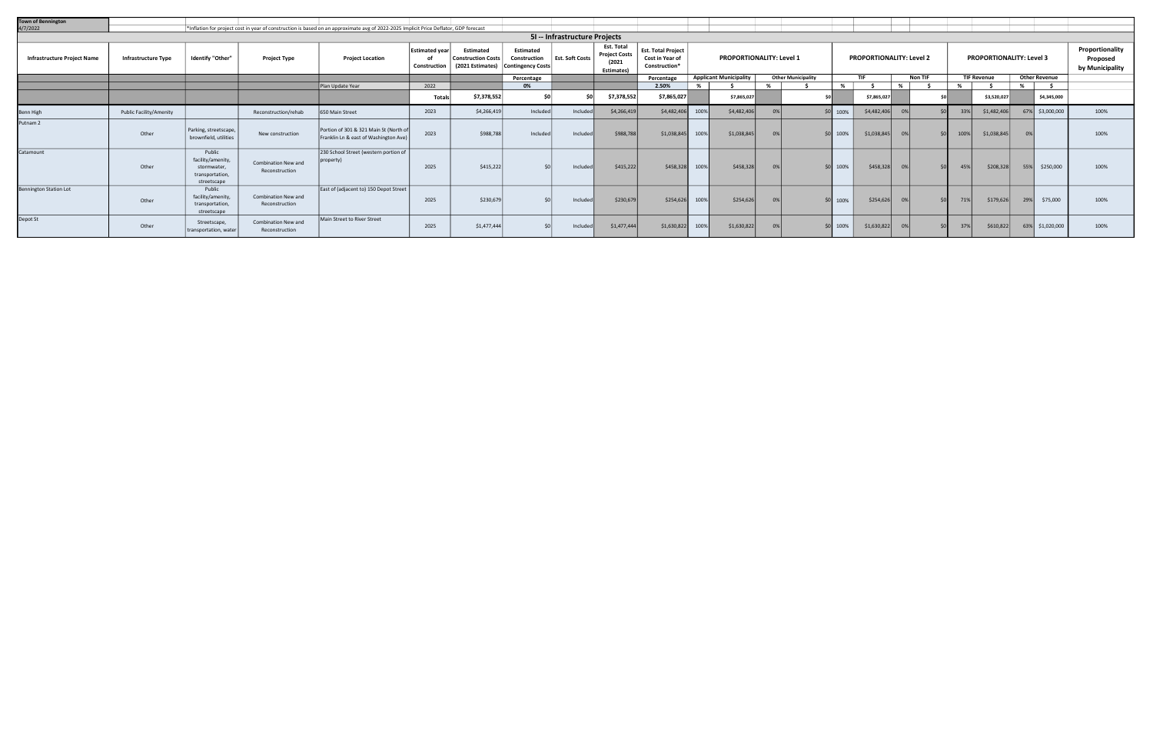| <b>Town of Bennington</b>          |                            |                                                                             |                                       |                                                                                                                                       |                                       |                                                                   |                                                       |                               |                                                            |                                                                      |      |                               |    |                           |      |                                 |    |         |      |                                 |            |                      |                                                |
|------------------------------------|----------------------------|-----------------------------------------------------------------------------|---------------------------------------|---------------------------------------------------------------------------------------------------------------------------------------|---------------------------------------|-------------------------------------------------------------------|-------------------------------------------------------|-------------------------------|------------------------------------------------------------|----------------------------------------------------------------------|------|-------------------------------|----|---------------------------|------|---------------------------------|----|---------|------|---------------------------------|------------|----------------------|------------------------------------------------|
| 4/7/2022                           |                            |                                                                             |                                       | *Inflation for project cost in year of construction is based on an approximate avg of 2022-2025 Implicit Price Deflator, GDP forecast |                                       |                                                                   |                                                       |                               |                                                            |                                                                      |      |                               |    |                           |      |                                 |    |         |      |                                 |            |                      |                                                |
|                                    |                            |                                                                             |                                       |                                                                                                                                       |                                       |                                                                   |                                                       | 51 -- Infrastructure Projects |                                                            |                                                                      |      |                               |    |                           |      |                                 |    |         |      |                                 |            |                      |                                                |
| <b>Infrastructure Project Name</b> | <b>Infrastructure Type</b> | Identify "Other"                                                            | <b>Project Type</b>                   | <b>Project Location</b>                                                                                                               | <b>Estimated year</b><br>Construction | <b>Estimated</b><br><b>Construction Costs</b><br>(2021 Estimates) | Estimated<br>Construction<br><b>Contingency Costs</b> | <b>Est. Soft Costs</b>        | Est. Total<br><b>Project Costs</b><br>(2021)<br>Estimates) | <b>Est. Total Project</b><br><b>Cost in Year of</b><br>Construction* |      | PROPORTIONALITY: Level 1      |    |                           |      | <b>PROPORTIONALITY: Level 2</b> |    |         |      | <b>PROPORTIONALITY: Level 3</b> |            |                      | Proportionality<br>Proposed<br>by Municipality |
|                                    |                            |                                                                             |                                       |                                                                                                                                       |                                       |                                                                   | Percentage                                            |                               |                                                            | Percentage                                                           |      | <b>Applicant Municipality</b> |    | <b>Other Municipality</b> |      | <b>TIF</b>                      |    | Non TIF |      | <b>TIF Revenue</b>              |            | <b>Other Revenue</b> |                                                |
|                                    |                            |                                                                             |                                       | Plan Update Year                                                                                                                      | 2022                                  |                                                                   | 0%                                                    |                               |                                                            | 2.50%                                                                |      |                               | %  |                           | %    |                                 | %  |         | %    |                                 | %          |                      |                                                |
|                                    |                            |                                                                             |                                       |                                                                                                                                       | <b>Totals</b>                         | \$7,378,552                                                       |                                                       |                               | \$7,378,552                                                | \$7,865,027                                                          |      | \$7,865,027                   |    |                           |      | \$7,865,027                     |    |         |      | \$3,520,027                     |            | \$4,345,000          |                                                |
| Benn High                          | Public Facility/Amenity    |                                                                             | Reconstruction/rehab                  | 650 Main Street                                                                                                                       | 2023                                  | \$4,266,41                                                        | Included                                              | Included                      | \$4,266,419                                                | \$4,482,406                                                          | 100% | \$4,482,406                   |    |                           | 100% | \$4,482,406                     |    |         | 33%  | \$1,482,406                     | 67%        | \$3,000,000          | 100%                                           |
| Putnam <sub>2</sub>                | Other                      | Parking, streetscape,<br>brownfield, utilities                              | New construction                      | Portion of 301 & 321 Main St (North of<br>Franklin Ln & east of Washington Ave)                                                       | 2023                                  | \$988,788                                                         | Included                                              | Included                      | \$988,788                                                  | \$1,038,845                                                          | 100% | \$1,038,845                   | 0% |                           | 100% | \$1,038,845                     | 0% | \$0     | 100% | \$1,038,845                     | $\Omega$ % |                      | 100%                                           |
| Catamount                          | Other                      | Public<br>facility/amenity<br>stormwater.<br>transportation,<br>streetscape | Combination New and<br>Reconstruction | 230 School Street (western portion of<br>(property)                                                                                   | 2025                                  | \$415,222                                                         |                                                       | Include                       | \$415,222                                                  | \$458,3                                                              | 100% | \$458,328                     | 0% |                           | 100% | \$458,328                       |    | $\ln$   |      | \$208,328                       | 55%        | \$250,000            | 100%                                           |
| <b>Bennington Station Lot</b>      | Other                      | Public<br>facility/amenity<br>transportation,<br>streetscape                | Combination New and<br>Reconstruction | East of (adjacent to) 150 Depot Street                                                                                                | 2025                                  | \$230,679                                                         |                                                       | Included                      | \$230,679                                                  | \$254,626                                                            | 100% | \$254,626                     | 0% |                           | 100% | \$254,626                       | 0% | $\sin$  | 71%  | \$179,626                       | 29%        | \$75,000             | 100%                                           |
| Depot St                           | Other                      | Streetscape.<br>transportation, wate                                        | Combination New and<br>Reconstruction | Main Street to River Street                                                                                                           | 2025                                  | \$1,477,444                                                       |                                                       | Included                      | \$1,477,444                                                | \$1,630,822                                                          | 100% | \$1,630,822                   | 0% |                           | 100% | \$1,630,822                     | 0% | $\sin$  | 37%  | \$610,822                       | 63%        | \$1,020,000          | 100%                                           |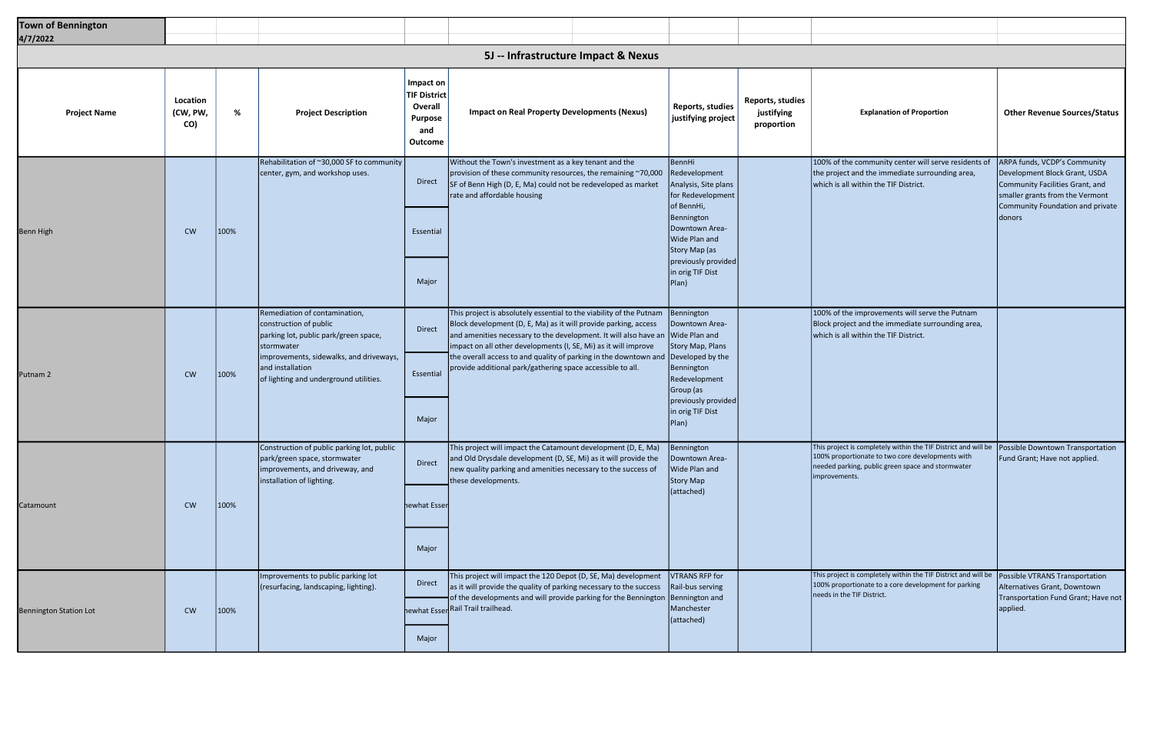| <b>Town of Bennington</b><br>4/7/2022 |                             |      |                                                                                                                                                           |                                                                                 |                                                                                                                                                                                                                                                                                                                                                                                          |                                                                                    |                                                     |                                                                                                                                                                                          |                                                                                                                                                                                |
|---------------------------------------|-----------------------------|------|-----------------------------------------------------------------------------------------------------------------------------------------------------------|---------------------------------------------------------------------------------|------------------------------------------------------------------------------------------------------------------------------------------------------------------------------------------------------------------------------------------------------------------------------------------------------------------------------------------------------------------------------------------|------------------------------------------------------------------------------------|-----------------------------------------------------|------------------------------------------------------------------------------------------------------------------------------------------------------------------------------------------|--------------------------------------------------------------------------------------------------------------------------------------------------------------------------------|
|                                       |                             |      |                                                                                                                                                           |                                                                                 | 5J -- Infrastructure Impact & Nexus                                                                                                                                                                                                                                                                                                                                                      |                                                                                    |                                                     |                                                                                                                                                                                          |                                                                                                                                                                                |
| <b>Project Name</b>                   | Location<br>(CW, PW,<br>CO) | %    | <b>Project Description</b>                                                                                                                                | Impact on<br><b>TIF District</b><br>Overall<br><b>Purpose</b><br>and<br>Outcome | <b>Impact on Real Property Developments (Nexus)</b>                                                                                                                                                                                                                                                                                                                                      | <b>Reports, studies</b><br>justifying project                                      | <b>Reports, studies</b><br>justifying<br>proportion | <b>Explanation of Proportion</b>                                                                                                                                                         | <b>Other Revenue Sources/Status</b>                                                                                                                                            |
|                                       |                             |      | Rehabilitation of ~30,000 SF to community<br>center, gym, and workshop uses.                                                                              | Direct                                                                          | Without the Town's investment as a key tenant and the<br>provision of these community resources, the remaining ~70,000<br>SF of Benn High (D, E, Ma) could not be redeveloped as market<br>rate and affordable housing                                                                                                                                                                   | BennHi<br>Redevelopment<br>Analysis, Site plans<br>for Redevelopment<br>of BennHi, |                                                     | 100% of the community center will serve residents of<br>the project and the immediate surrounding area,<br>which is all within the TIF District.                                         | <b>ARPA funds, VCDP's Community</b><br>Development Block Grant, USDA<br>Community Facilities Grant, and<br>smaller grants from the Vermont<br>Community Foundation and private |
| <b>Benn High</b>                      | <b>CW</b>                   | 100% |                                                                                                                                                           | Essential                                                                       |                                                                                                                                                                                                                                                                                                                                                                                          | Bennington<br>Downtown Area-<br>Wide Plan and<br>Story Map (as                     |                                                     |                                                                                                                                                                                          | donors                                                                                                                                                                         |
|                                       |                             |      |                                                                                                                                                           | Major                                                                           |                                                                                                                                                                                                                                                                                                                                                                                          | previously provided<br>in orig TIF Dist<br>$ Plan\rangle$                          |                                                     |                                                                                                                                                                                          |                                                                                                                                                                                |
|                                       |                             |      | Remediation of contamination,<br>construction of public<br>parking lot, public park/green space,<br>stormwater<br>improvements, sidewalks, and driveways, | <b>Direct</b>                                                                   | This project is absolutely essential to the viability of the Putnam<br>Block development (D, E, Ma) as it will provide parking, access<br>and amenities necessary to the development. It will also have an Wide Plan and<br>impact on all other developments (I, SE, Mi) as it will improve<br>the overall access to and quality of parking in the downtown and $\vert$ Developed by the | Bennington<br>Downtown Area-<br>Story Map, Plans                                   |                                                     | 100% of the improvements will serve the Putnam<br>Block project and the immediate surrounding area,<br>which is all within the TIF District.                                             |                                                                                                                                                                                |
| Putnam <sub>2</sub>                   | <b>CW</b>                   | 100% | and installation<br>of lighting and underground utilities.                                                                                                | Essential                                                                       | provide additional park/gathering space accessible to all.                                                                                                                                                                                                                                                                                                                               | Bennington<br>Redevelopment<br>Group (as                                           |                                                     |                                                                                                                                                                                          |                                                                                                                                                                                |
|                                       |                             |      |                                                                                                                                                           | Major                                                                           |                                                                                                                                                                                                                                                                                                                                                                                          | previously provided<br>in orig TIF Dist<br>$ Plan\rangle$                          |                                                     |                                                                                                                                                                                          |                                                                                                                                                                                |
|                                       |                             |      | Construction of public parking lot, public<br>park/green space, stormwater<br>improvements, and driveway, and<br>installation of lighting.                | <b>Direct</b>                                                                   | This project will impact the Catamount development (D, E, Ma)<br>and Old Drysdale development (D, SE, Mi) as it will provide the<br>new quality parking and amenities necessary to the success of<br>these developments.                                                                                                                                                                 | Bennington<br>Downtown Area-<br>Wide Plan and<br>Story Map                         |                                                     | This project is completely within the TIF District and will be<br>100% proportionate to two core developments with<br>needed parking, public green space and stormwater<br>improvements. | Possible Downtown Transportation<br>Fund Grant; Have not applied.                                                                                                              |
| Catamount                             | <b>CW</b>                   | 100% |                                                                                                                                                           | hewhat Esser                                                                    |                                                                                                                                                                                                                                                                                                                                                                                          | (attached)                                                                         |                                                     |                                                                                                                                                                                          |                                                                                                                                                                                |
|                                       |                             |      |                                                                                                                                                           | Major                                                                           |                                                                                                                                                                                                                                                                                                                                                                                          |                                                                                    |                                                     |                                                                                                                                                                                          |                                                                                                                                                                                |
|                                       |                             |      | Improvements to public parking lot<br>(resurfacing, landscaping, lighting).                                                                               | Direct                                                                          | This project will impact the 120 Depot (D, SE, Ma) development<br>as it will provide the quality of parking necessary to the success<br>of the developments and will provide parking for the Bennington   Bennington and<br>hewhat Esser Rail Trail trailhead.                                                                                                                           | <b>VTRANS RFP for</b><br>Rail-bus serving<br>Manchester                            |                                                     | This project is completely within the TIF District and will be Possible VTRANS Transportation<br>100% proportionate to a core development for parking<br>needs in the TIF District.      | Alternatives Grant, Downtown<br>Transportation Fund Grant; Have not<br>applied.                                                                                                |
| <b>Bennington Station Lot</b>         | <b>CW</b>                   | 100% |                                                                                                                                                           | Major                                                                           |                                                                                                                                                                                                                                                                                                                                                                                          | (attached)                                                                         |                                                     |                                                                                                                                                                                          |                                                                                                                                                                                |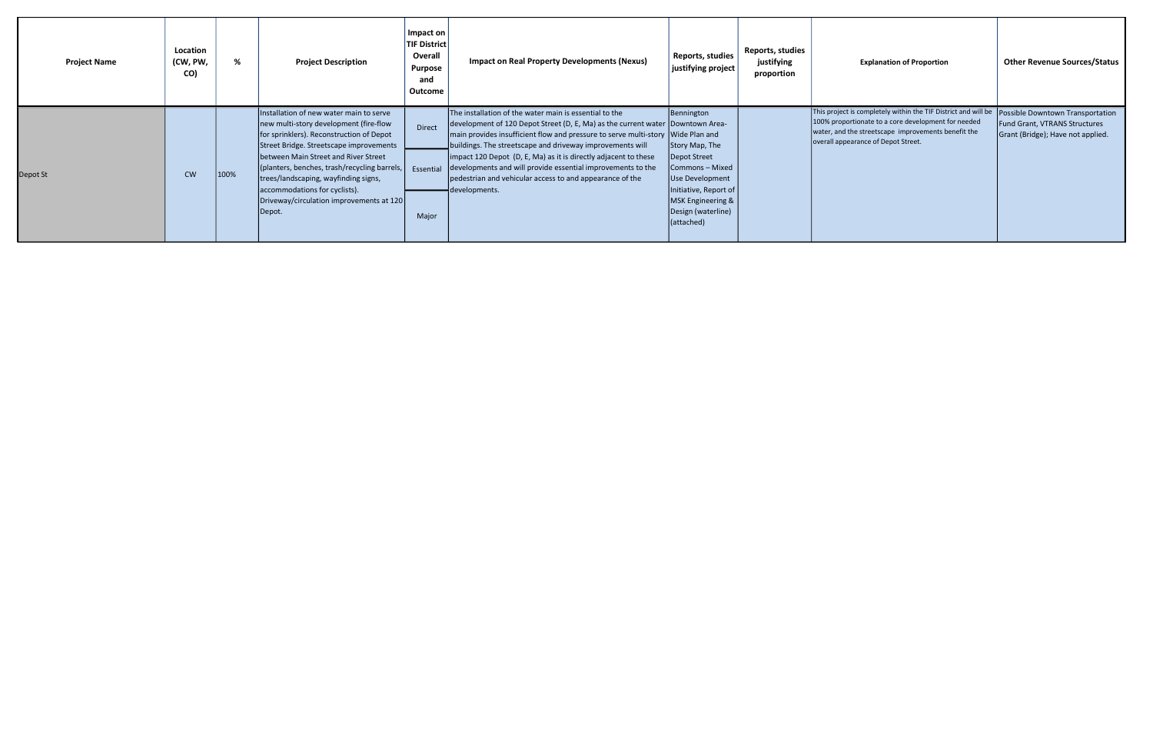| <b>Project Name</b> | Location<br>(CW, PW,<br>CO) | %    | <b>Project Description</b>                                                                                                                                                                                                                                                                                                                                                                      | Impact on<br><b>TIF District</b><br>Overall<br>Purpose<br>and<br>Outcome | <b>Impact on Real Property Developments (Nexus)</b>                                                                                                                                                                                                                                                                                                                                                                                                                                                       | Reports, studies<br>justifying project                                                                                                                                             | Reports, studies<br>justifying<br>proportion | <b>Explanation of Proportion</b>                                                                                                                                                                                    | <b>Other Revenue Sources/Status</b>                                                                           |
|---------------------|-----------------------------|------|-------------------------------------------------------------------------------------------------------------------------------------------------------------------------------------------------------------------------------------------------------------------------------------------------------------------------------------------------------------------------------------------------|--------------------------------------------------------------------------|-----------------------------------------------------------------------------------------------------------------------------------------------------------------------------------------------------------------------------------------------------------------------------------------------------------------------------------------------------------------------------------------------------------------------------------------------------------------------------------------------------------|------------------------------------------------------------------------------------------------------------------------------------------------------------------------------------|----------------------------------------------|---------------------------------------------------------------------------------------------------------------------------------------------------------------------------------------------------------------------|---------------------------------------------------------------------------------------------------------------|
| Depot St            | <b>CW</b>                   | 100% | Installation of new water main to serve<br>new multi-story development (fire-flow<br>for sprinklers). Reconstruction of Depot<br>Street Bridge. Streetscape improvements<br>between Main Street and River Street<br>(planters, benches, trash/recycling barrels,<br>trees/landscaping, wayfinding signs,<br>accommodations for cyclists).<br>Driveway/circulation improvements at 120<br>Depot. | <b>Direct</b><br>Essential<br>Major                                      | The installation of the water main is essential to the<br> development of 120 Depot Street (D, E, Ma) as the current water  Downtown Area-<br>main provides insufficient flow and pressure to serve multi-story Wide Plan and<br>buildings. The streetscape and driveway improvements will<br>impact 120 Depot (D, E, Ma) as it is directly adjacent to these<br>developments and will provide essential improvements to the<br>pedestrian and vehicular access to and appearance of the<br>developments. | Bennington<br>Story Map, The<br>Depot Street<br>Commons - Mixed<br>Use Development<br> Initiative, Report of  <br> MSK Engineering &  <br>Design (waterline)<br>$\vert$ (attached) |                                              | This project is completely within the TIF District and will be<br>100% proportionate to a core development for needed<br>water, and the streetscape improvements benefit the<br>overall appearance of Depot Street. | Possible Downtown Transportation<br><b>Fund Grant, VTRANS Structures</b><br>Grant (Bridge); Have not applied. |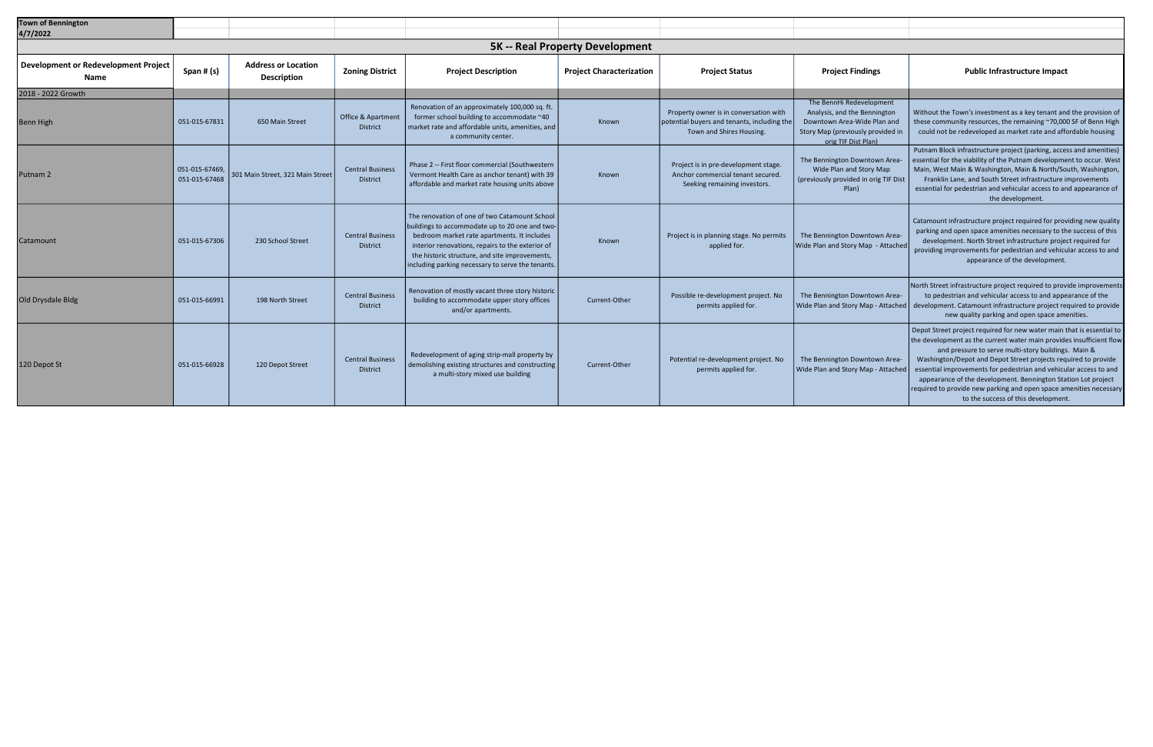| <b>Town of Bennington</b><br>4/7/2022        |                                 |                                                  |                                                  |                                                                                                                                                                                                                                                                                                           |                                        |                                                                                                                   |                                                                                                                                                     |                                                                                                                                                                                                                                                                                                                                                                                                                                                                                                                           |
|----------------------------------------------|---------------------------------|--------------------------------------------------|--------------------------------------------------|-----------------------------------------------------------------------------------------------------------------------------------------------------------------------------------------------------------------------------------------------------------------------------------------------------------|----------------------------------------|-------------------------------------------------------------------------------------------------------------------|-----------------------------------------------------------------------------------------------------------------------------------------------------|---------------------------------------------------------------------------------------------------------------------------------------------------------------------------------------------------------------------------------------------------------------------------------------------------------------------------------------------------------------------------------------------------------------------------------------------------------------------------------------------------------------------------|
|                                              |                                 |                                                  |                                                  |                                                                                                                                                                                                                                                                                                           | <b>5K -- Real Property Development</b> |                                                                                                                   |                                                                                                                                                     |                                                                                                                                                                                                                                                                                                                                                                                                                                                                                                                           |
| Development or Redevelopment Project<br>Name | Span # (s)                      | <b>Address or Location</b><br><b>Description</b> | <b>Zoning District</b>                           | <b>Project Description</b>                                                                                                                                                                                                                                                                                | <b>Project Characterization</b>        | <b>Project Status</b>                                                                                             | <b>Project Findings</b>                                                                                                                             | <b>Public Infrastructure Impact</b>                                                                                                                                                                                                                                                                                                                                                                                                                                                                                       |
| 2018 - 2022 Growth                           |                                 |                                                  |                                                  |                                                                                                                                                                                                                                                                                                           |                                        |                                                                                                                   |                                                                                                                                                     |                                                                                                                                                                                                                                                                                                                                                                                                                                                                                                                           |
| <b>Benn High</b>                             | 051-015-67831                   | 650 Main Street                                  | <b>Office &amp; Apartment</b><br><b>District</b> | Renovation of an approximately 100,000 sq. ft.<br>former school building to accommodate ~40<br>market rate and affordable units, amenities, and<br>a community center.                                                                                                                                    | Known                                  | Property owner is in conversation with<br>potential buyers and tenants, including the<br>Town and Shires Housing. | The BennHi Redevelopment<br>Analysis, and the Bennington<br>Downtown Area-Wide Plan and<br>Story Map (previously provided in<br>orig TIF Dist Plan) | Without the Town's investment as a key tenant and the provision of<br>these community resources, the remaining ~70,000 SF of Benn High<br>could not be redeveloped as market rate and affordable housing                                                                                                                                                                                                                                                                                                                  |
| Putnam <sub>2</sub>                          | 051-015-67469,<br>051-015-67468 | 301 Main Street, 321 Main Street                 | <b>Central Business</b><br><b>District</b>       | Phase 2 -- First floor commercial (Southwestern<br>Vermont Health Care as anchor tenant) with 39<br>affordable and market rate housing units above                                                                                                                                                        | Known                                  | Project is in pre-development stage.<br>Anchor commercial tenant secured.<br>Seeking remaining investors.         | The Bennington Downtown Area-<br>Wide Plan and Story Map<br>(previously provided in orig TIF Dist<br>Plan)                                          | Putnam Block infrastructure project (parking, access and amenities)<br>essential for the viability of the Putnam development to occur. West<br>Main, West Main & Washington, Main & North/South, Washington,<br>Franklin Lane, and South Street infrastructure improvements<br>essential for pedestrian and vehicular access to and appearance of<br>the development.                                                                                                                                                     |
| Catamount                                    | 051-015-67306                   | 230 School Street                                | <b>Central Business</b><br><b>District</b>       | The renovation of one of two Catamount School<br>buildings to accommodate up to 20 one and two-<br>bedroom market rate apartments. It includes<br>interior renovations, repairs to the exterior of<br>the historic structure, and site improvements,<br>including parking necessary to serve the tenants. | Known                                  | Project is in planning stage. No permits<br>applied for.                                                          | The Bennington Downtown Area-<br>Wide Plan and Story Map - Attached                                                                                 | Catamount infrastructure project required for providing new quality<br>parking and open space amenities necessary to the success of this<br>development. North Street infrastructure project required for<br>providing improvements for pedestrian and vehicular access to and<br>appearance of the development.                                                                                                                                                                                                          |
| Old Drysdale Bldg                            | 051-015-66991                   | 198 North Street                                 | <b>Central Business</b><br><b>District</b>       | Renovation of mostly vacant three story historic<br>building to accommodate upper story offices<br>and/or apartments.                                                                                                                                                                                     | Current-Other                          | Possible re-development project. No<br>permits applied for.                                                       | The Bennington Downtown Area-<br>Wide Plan and Story Map - Attached                                                                                 | North Street infrastructure project required to provide improvements<br>to pedestrian and vehicular access to and appearance of the<br>development. Catamount infrastructure project required to provide<br>new quality parking and open space amenities.                                                                                                                                                                                                                                                                 |
| 120 Depot St                                 | 051-015-66928                   | 120 Depot Street                                 | <b>Central Business</b><br><b>District</b>       | Redevelopment of aging strip-mall property by<br>demolishing existing structures and constructing<br>a multi-story mixed use building                                                                                                                                                                     | Current-Other                          | Potential re-development project. No<br>permits applied for.                                                      | The Bennington Downtown Area-<br>Wide Plan and Story Map - Attached                                                                                 | Depot Street project required for new water main that is essential to<br>the development as the current water main provides insufficient flow<br>and pressure to serve multi-story buildings. Main &<br>Washington/Depot and Depot Street projects required to provide<br>essential improvements for pedestrian and vehicular access to and<br>appearance of the development. Bennington Station Lot project<br>required to provide new parking and open space amenities necessary<br>to the success of this development. |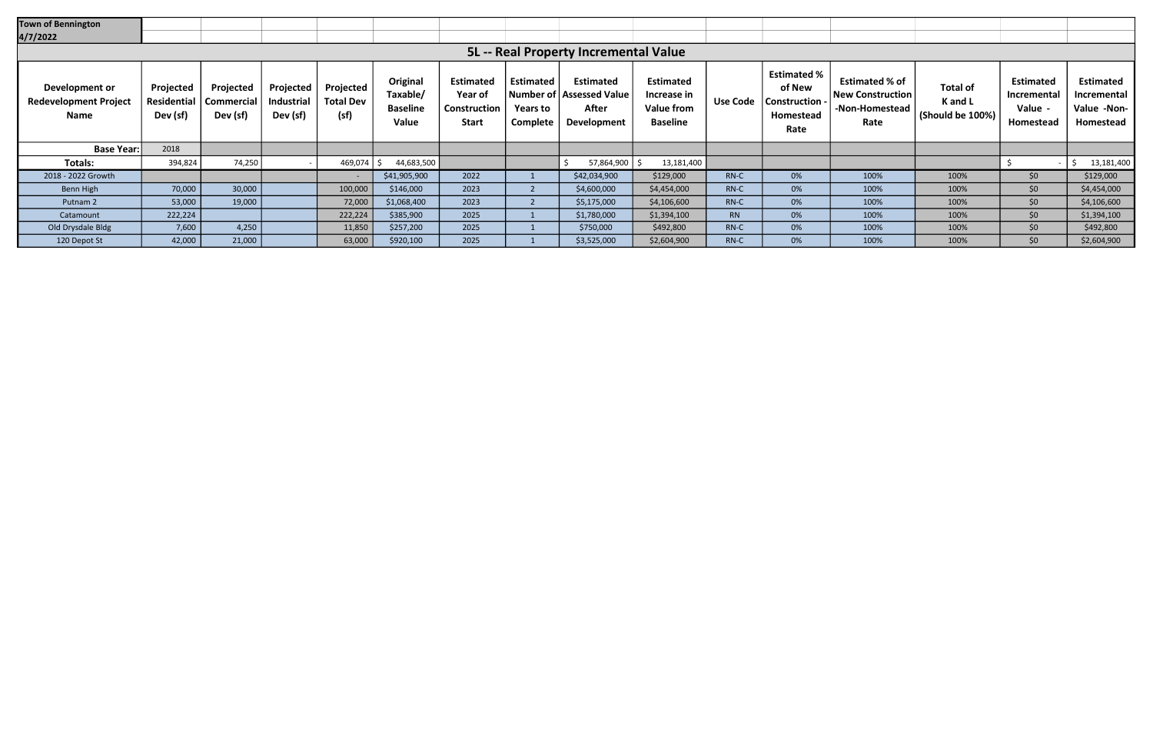| <b>Town of Bennington</b>                              |                                      |                                     |                                            |                                       |                                                  |                                                                    |                                          |                                                                               |                                                                         |                 |                                                                     |                                                                            |                                                |                                                  |                                                             |
|--------------------------------------------------------|--------------------------------------|-------------------------------------|--------------------------------------------|---------------------------------------|--------------------------------------------------|--------------------------------------------------------------------|------------------------------------------|-------------------------------------------------------------------------------|-------------------------------------------------------------------------|-----------------|---------------------------------------------------------------------|----------------------------------------------------------------------------|------------------------------------------------|--------------------------------------------------|-------------------------------------------------------------|
| 4/7/2022                                               |                                      |                                     |                                            |                                       |                                                  |                                                                    |                                          |                                                                               |                                                                         |                 |                                                                     |                                                                            |                                                |                                                  |                                                             |
|                                                        |                                      |                                     |                                            |                                       |                                                  |                                                                    |                                          | 5L -- Real Property Incremental Value                                         |                                                                         |                 |                                                                     |                                                                            |                                                |                                                  |                                                             |
| Development or<br><b>Redevelopment Project</b><br>Name | Projected<br>Residential<br>Dev (sf) | Projected<br>Commercial<br>Dev (sf) | Projected<br><b>Industrial</b><br>Dev (sf) | Projected<br><b>Total Dev</b><br>(sf) | Original<br>Taxable/<br><b>Baseline</b><br>Value | <b>Estimated</b><br>Year of<br><b>Construction</b><br><b>Start</b> | <b>Estimated</b><br>Years to<br>Complete | <b>Estimated</b><br>Number of   Assessed Value<br>After<br><b>Development</b> | <b>Estimated</b><br>Increase in<br><b>Value from</b><br><b>Baseline</b> | <b>Use Code</b> | <b>Estimated %</b><br>of New<br>Construction -<br>Homestead<br>Rate | <b>Estimated % of</b><br><b>New Construction</b><br>-Non-Homestead<br>Rate | <b>Total of</b><br>K and L<br>(Should be 100%) | Estimated<br>Incremental<br>Value -<br>Homestead | <b>Estimated</b><br>Incremental<br>Value -Non-<br>Homestead |
| <b>Base Year:</b>                                      | 2018                                 |                                     |                                            |                                       |                                                  |                                                                    |                                          |                                                                               |                                                                         |                 |                                                                     |                                                                            |                                                |                                                  |                                                             |
| <b>Totals:</b>                                         | 394,824                              | 74,250                              |                                            | 469,074                               | 44,683,500                                       |                                                                    |                                          | 57,864,900                                                                    | 13,181,400                                                              |                 |                                                                     |                                                                            |                                                |                                                  | 13,181,400                                                  |
| 2018 - 2022 Growth                                     |                                      |                                     |                                            |                                       | \$41,905,900                                     | 2022                                                               |                                          | \$42,034,900                                                                  | \$129,000                                                               | RN-C            | 0%                                                                  | 100%                                                                       | 100%                                           | \$0                                              | \$129,000                                                   |
| Benn High                                              | 70,000                               | 30,000                              |                                            | 100,000                               | \$146,000                                        | 2023                                                               |                                          | \$4,600,000                                                                   | \$4,454,000                                                             | RN-C            | 0%                                                                  | 100%                                                                       | 100%                                           | \$0                                              | \$4,454,000                                                 |
| Putnam <sub>2</sub>                                    | 53,000                               | 19,000                              |                                            | 72,000                                | \$1,068,400                                      | 2023                                                               |                                          | \$5,175,000                                                                   | \$4,106,600                                                             | RN-C            | 0%                                                                  | 100%                                                                       | 100%                                           | \$0                                              | \$4,106,600                                                 |
| Catamount                                              | 222,224                              |                                     |                                            | 222,224                               | \$385,900                                        | 2025                                                               |                                          | \$1,780,000                                                                   | \$1,394,100                                                             | <b>RN</b>       | 0%                                                                  | 100%                                                                       | 100%                                           | \$0                                              | \$1,394,100                                                 |
| Old Drysdale Bldg                                      | 7,600                                | 4,250                               |                                            | 11,850                                | \$257,200                                        | 2025                                                               |                                          | \$750,000                                                                     | \$492,800                                                               | RN-C            | 0%                                                                  | 100%                                                                       | 100%                                           | \$0                                              | \$492,800                                                   |
| 120 Depot St                                           | 42,000                               | 21,000                              |                                            | 63,000                                | \$920,100                                        | 2025                                                               |                                          | \$3,525,000                                                                   | \$2,604,900                                                             | RN-C            | 0%                                                                  | 100%                                                                       | 100%                                           | \$0                                              | \$2,604,900                                                 |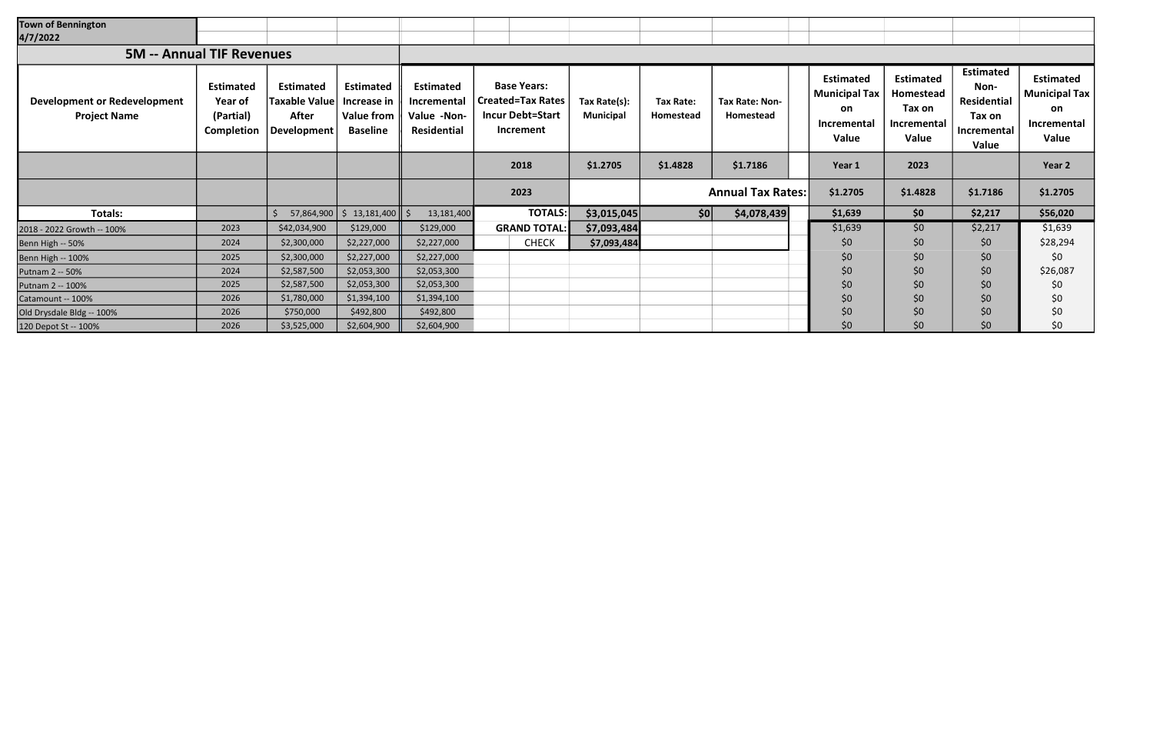| <b>Town of Bennington</b><br>4/7/2022                      |                                                               |                                                                         |                                                                         |                                                                      |                                                                                               |                                  |                        |                             |                                                                        |                                                                 |                                                                           |                                                                        |
|------------------------------------------------------------|---------------------------------------------------------------|-------------------------------------------------------------------------|-------------------------------------------------------------------------|----------------------------------------------------------------------|-----------------------------------------------------------------------------------------------|----------------------------------|------------------------|-----------------------------|------------------------------------------------------------------------|-----------------------------------------------------------------|---------------------------------------------------------------------------|------------------------------------------------------------------------|
|                                                            |                                                               |                                                                         |                                                                         |                                                                      |                                                                                               |                                  |                        |                             |                                                                        |                                                                 |                                                                           |                                                                        |
| <b>5M -- Annual TIF Revenues</b>                           |                                                               |                                                                         |                                                                         |                                                                      |                                                                                               |                                  |                        |                             |                                                                        |                                                                 |                                                                           |                                                                        |
| <b>Development or Redevelopment</b><br><b>Project Name</b> | <b>Estimated</b><br><b>Year of</b><br>(Partial)<br>Completion | <b>Estimated</b><br><b>Taxable Value</b><br><b>After</b><br>Development | <b>Estimated</b><br>Increase in<br><b>Value from</b><br><b>Baseline</b> | <b>Estimated</b><br><b>Incremental</b><br>Value -Non-<br>Residential | <b>Base Years:</b><br><b>Created=Tax Rates</b><br><b>Incur Debt=Start</b><br><b>Increment</b> | Tax Rate(s):<br><b>Municipal</b> | Tax Rate:<br>Homestead | Tax Rate: Non-<br>Homestead | <b>Estimated</b><br><b>Municipal Tax</b><br>on<br>Incremental<br>Value | <b>Estimated</b><br>Homestead<br>Tax on<br>Incremental<br>Value | <b>Estimated</b><br>Non-<br>Residential<br>Tax on<br>Incremental<br>Value | <b>Estimated</b><br><b>Municipal Tax</b><br>on<br>Incremental<br>Value |
|                                                            |                                                               |                                                                         |                                                                         |                                                                      | 2018                                                                                          | \$1.2705                         | \$1.4828               | \$1.7186                    | Year 1                                                                 | 2023                                                            |                                                                           | Year 2                                                                 |
|                                                            |                                                               |                                                                         |                                                                         |                                                                      | 2023                                                                                          |                                  |                        | <b>Annual Tax Rates:</b>    | \$1.2705                                                               | \$1.4828                                                        | \$1.7186                                                                  | \$1.2705                                                               |
| Totals:                                                    |                                                               | 57,864,900                                                              | 13,181,400 ∥ \$<br>$\ddot{\varphi}$                                     | 13,181,400                                                           | <b>TOTALS:</b>                                                                                | \$3,015,045                      | 50                     | \$4,078,439                 | \$1,639                                                                | \$0\$                                                           | \$2,217                                                                   | \$56,020                                                               |
| 2018 - 2022 Growth -- 100%                                 | 2023                                                          | \$42,034,900                                                            | \$129,000                                                               | \$129,000                                                            | <b>GRAND TOTAL:</b>                                                                           | \$7,093,484                      |                        |                             | \$1,639                                                                | \$0                                                             | \$2,217                                                                   | \$1,639                                                                |
| Benn High -- 50%                                           | 2024                                                          | \$2,300,000                                                             | \$2,227,000                                                             | \$2,227,000                                                          | <b>CHECK</b>                                                                                  | \$7,093,484                      |                        |                             | \$0                                                                    | \$0                                                             | \$0                                                                       | \$28,294                                                               |
| Benn High -- 100%                                          | 2025                                                          | \$2,300,000                                                             | \$2,227,000                                                             | \$2,227,000                                                          |                                                                                               |                                  |                        |                             | \$0                                                                    | \$0                                                             | \$0                                                                       | \$0                                                                    |
| Putnam 2 -- 50%                                            | 2024                                                          | \$2,587,500                                                             | \$2,053,300                                                             | \$2,053,300                                                          |                                                                                               |                                  |                        |                             | \$0                                                                    | \$0                                                             | \$0                                                                       | \$26,087                                                               |
| Putnam 2 -- 100%                                           | 2025                                                          | \$2,587,500                                                             | \$2,053,300                                                             | \$2,053,300                                                          |                                                                                               |                                  |                        |                             | \$0                                                                    | \$0                                                             | \$0                                                                       | \$0                                                                    |
| Catamount -- 100%                                          | 2026                                                          | \$1,780,000                                                             | \$1,394,100                                                             | \$1,394,100                                                          |                                                                                               |                                  |                        |                             | \$0                                                                    | \$0                                                             | \$0                                                                       | \$0                                                                    |
| Old Drysdale Bldg -- 100%                                  | 2026                                                          | \$750,000                                                               | \$492,800                                                               | \$492,800                                                            |                                                                                               |                                  |                        |                             | \$0                                                                    | \$0                                                             | \$0                                                                       | \$0                                                                    |
| 120 Depot St -- 100%                                       | 2026                                                          | \$3,525,000                                                             | \$2,604,900                                                             | \$2,604,900                                                          |                                                                                               |                                  |                        |                             | \$0                                                                    | \$0                                                             | 50                                                                        | \$0                                                                    |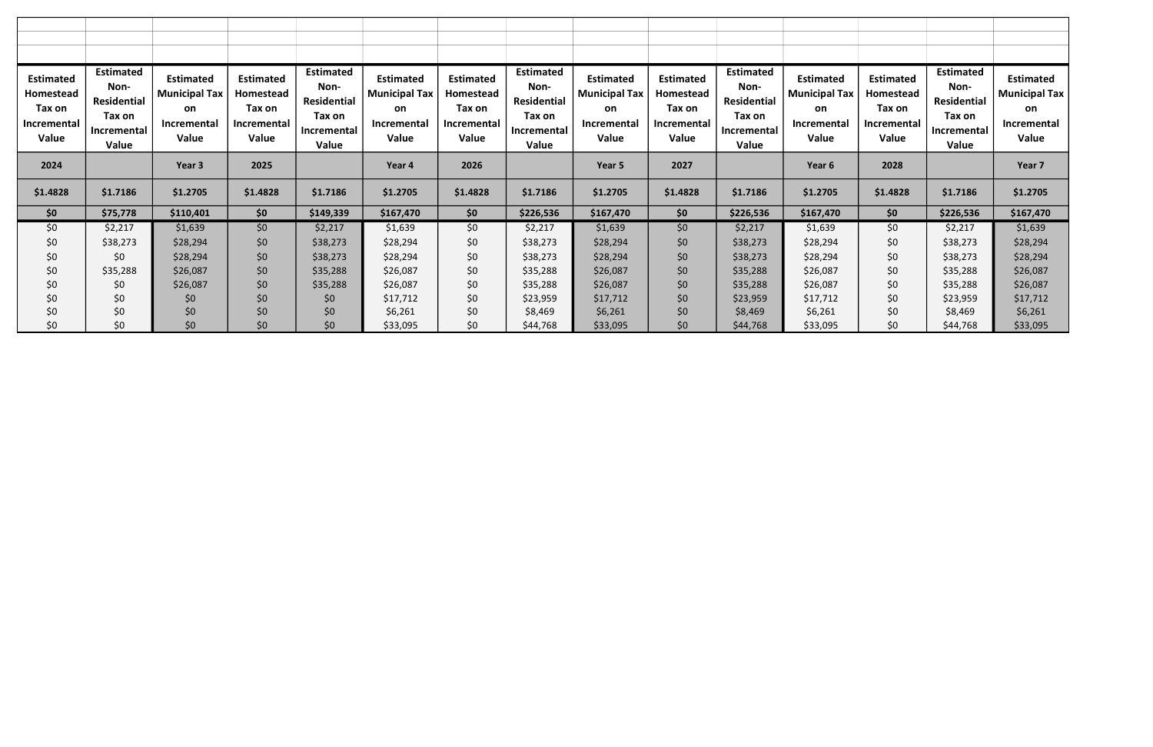| <b>Estimated</b><br>Homestead<br>Tax on<br>Incremental<br>Value | <b>Estimated</b><br>Non-<br><b>Residential</b><br>Tax on<br>Incremental<br>Value | <b>Estimated</b><br><b>Municipal Tax</b><br>on<br><b>Incremental</b><br>Value | <b>Estimated</b><br>Homestead<br>Tax on<br><b>Incremental</b><br>Value | <b>Estimated</b><br>Non-<br><b>Residential</b><br>Tax on<br><b>Incremental</b><br>Value | <b>Estimated</b><br><b>Municipal Tax</b><br>on<br>Incremental<br>Value | <b>Estimated</b><br>Homestead<br>Tax on<br>Incremental<br>Value | <b>Estimated</b><br>Non-<br><b>Residential</b><br>Tax on<br>Incremental<br>Value | <b>Estimated</b><br><b>Municipal Tax</b><br>on<br><b>Incremental</b><br>Value | <b>Estimated</b><br><b>Homestead</b><br>Tax on<br><b>Incremental</b><br>Value | <b>Estimated</b><br>Non-<br><b>Residential</b><br>Tax on<br>Incremental<br><b>Value</b> | <b>Estimated</b><br><b>Municipal Tax</b><br>on<br><b>Incremental</b><br>Value | <b>Estimated</b><br>Homestead<br>Tax on<br>Incremental<br>Value | Estimated<br>Non-<br>Residential<br>Tax on<br>Incremental<br>Value | <b>Estimated</b><br><b>Municipal Tax</b><br>on<br>Incremental<br>Value |
|-----------------------------------------------------------------|----------------------------------------------------------------------------------|-------------------------------------------------------------------------------|------------------------------------------------------------------------|-----------------------------------------------------------------------------------------|------------------------------------------------------------------------|-----------------------------------------------------------------|----------------------------------------------------------------------------------|-------------------------------------------------------------------------------|-------------------------------------------------------------------------------|-----------------------------------------------------------------------------------------|-------------------------------------------------------------------------------|-----------------------------------------------------------------|--------------------------------------------------------------------|------------------------------------------------------------------------|
| 2024                                                            |                                                                                  | Year <sub>3</sub>                                                             | 2025                                                                   |                                                                                         | Year 4                                                                 | 2026                                                            |                                                                                  | Year 5                                                                        | 2027                                                                          |                                                                                         | Year 6                                                                        | 2028                                                            |                                                                    | Year 7                                                                 |
| \$1.4828                                                        | \$1.7186                                                                         | \$1.2705                                                                      | \$1.4828                                                               | \$1.7186                                                                                | \$1.2705                                                               | \$1.4828                                                        | \$1.7186                                                                         | \$1.2705                                                                      | \$1.4828                                                                      | \$1.7186                                                                                | \$1.2705                                                                      | \$1.4828                                                        | \$1.7186                                                           | \$1.2705                                                               |
| \$0                                                             | \$75,778                                                                         | \$110,401                                                                     | \$0                                                                    | \$149,339                                                                               | \$167,470                                                              | \$0                                                             | \$226,536                                                                        | \$167,470                                                                     | \$0                                                                           | \$226,536                                                                               | \$167,470                                                                     | \$0\$                                                           | \$226,536                                                          | \$167,470                                                              |
| \$0                                                             | \$2,217                                                                          | \$1,639                                                                       | \$0                                                                    | \$2,217                                                                                 | \$1,639                                                                | \$0                                                             | \$2,217                                                                          | \$1,639                                                                       | \$0                                                                           | \$2,217                                                                                 | \$1,639                                                                       | \$0\$                                                           | \$2,217                                                            | \$1,639                                                                |
| \$0                                                             | \$38,273                                                                         | \$28,294                                                                      | \$0                                                                    | \$38,273                                                                                | \$28,294                                                               | \$0                                                             | \$38,273                                                                         | \$28,294                                                                      | \$0                                                                           | \$38,273                                                                                | \$28,294                                                                      | \$0                                                             | \$38,273                                                           | \$28,294                                                               |
| \$0                                                             | \$0                                                                              | \$28,294                                                                      | \$0                                                                    | \$38,273                                                                                | \$28,294                                                               | \$0                                                             | \$38,273                                                                         | \$28,294                                                                      | \$0                                                                           | \$38,273                                                                                | \$28,294                                                                      | \$0                                                             | \$38,273                                                           | \$28,294                                                               |
| \$0                                                             | \$35,288                                                                         | \$26,087                                                                      | \$0                                                                    | \$35,288                                                                                | \$26,087                                                               | \$0                                                             | \$35,288                                                                         | \$26,087                                                                      | \$0                                                                           | \$35,288                                                                                | \$26,087                                                                      | \$0                                                             | \$35,288                                                           | \$26,087                                                               |
| \$0                                                             | \$0                                                                              | \$26,087                                                                      | \$0                                                                    | \$35,288                                                                                | \$26,087                                                               | \$0                                                             | \$35,288                                                                         | \$26,087                                                                      | \$0                                                                           | \$35,288                                                                                | \$26,087                                                                      | \$0                                                             | \$35,288                                                           | \$26,087                                                               |
| \$0                                                             | \$0                                                                              | \$0                                                                           | \$0                                                                    | \$0                                                                                     | \$17,712                                                               | \$0                                                             | \$23,959                                                                         | \$17,712                                                                      | \$0                                                                           | \$23,959                                                                                | \$17,712                                                                      | \$0                                                             | \$23,959                                                           | \$17,712                                                               |
| \$0                                                             | \$0                                                                              | \$0                                                                           | \$0                                                                    | \$0                                                                                     | \$6,261                                                                | \$0                                                             | \$8,469                                                                          | \$6,261                                                                       | \$0                                                                           | \$8,469                                                                                 | \$6,261                                                                       | \$0                                                             | \$8,469                                                            | \$6,261                                                                |
| \$0                                                             | \$0                                                                              | \$0                                                                           | \$0                                                                    | \$0\$                                                                                   | \$33,095                                                               | \$0                                                             | \$44,768                                                                         | \$33,095                                                                      | \$0                                                                           | \$44,768                                                                                | \$33,095                                                                      | \$0                                                             | \$44,768                                                           | \$33,095                                                               |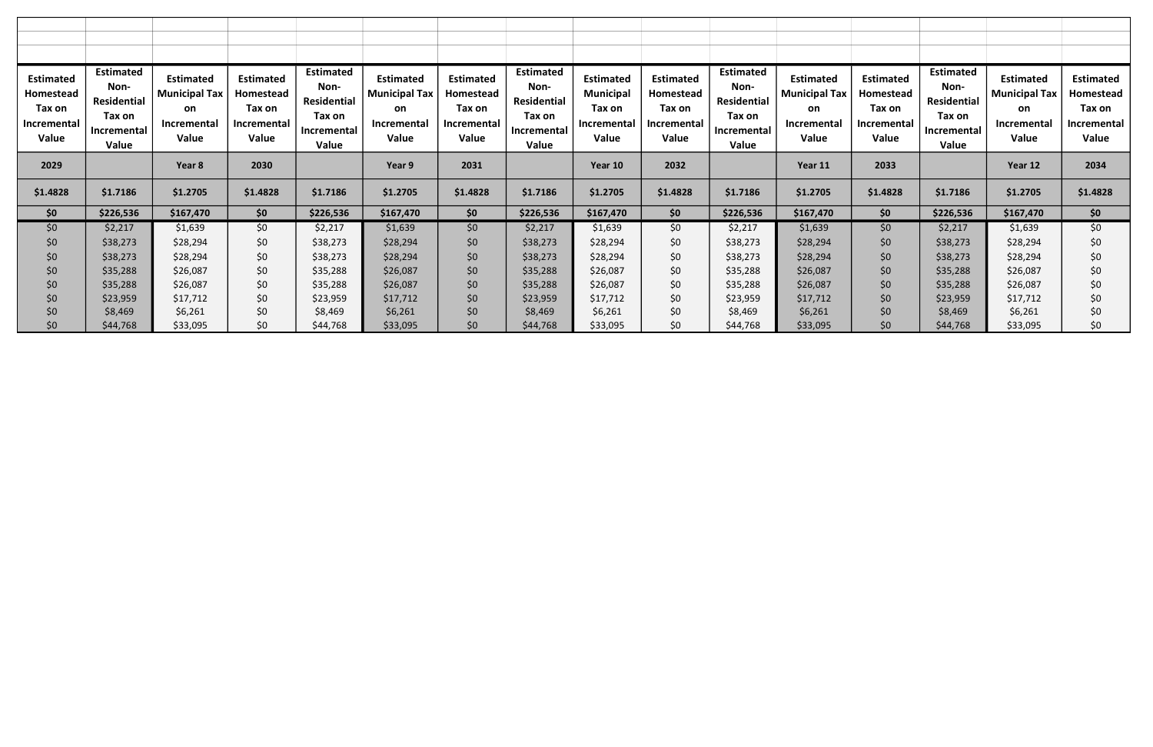| <b>Estimated</b><br>Homestead<br>Tax on<br>Incremental<br>Value | <b>Estimated</b><br>Non-<br><b>Residential</b><br>Tax on<br><b>Incremental</b><br><b>Value</b> | <b>Estimated</b><br><b>Municipal Tax</b><br>on<br><b>Incremental</b><br>Value | <b>Estimated</b><br>Homestead<br>Tax on<br>Incremental<br>Value | <b>Estimated</b><br>Non-<br><b>Residential</b><br>Tax on<br><b>Incremental</b><br>Value | <b>Estimated</b><br><b>Municipal Tax</b><br><b>on</b><br><b>Incremental</b><br>Value | <b>Estimated</b><br>Homestead<br>Tax on<br>Incremental<br>Value | <b>Estimated</b><br>Non-<br><b>Residential</b><br>Tax on<br><b>Incremental</b><br>Value | <b>Estimated</b><br><b>Municipal</b><br>Tax on<br><b>Incremental</b><br>Value | <b>Estimated</b><br>Homestead<br>Tax on<br>Incremental<br>Value | <b>Estimated</b><br>Non-<br>Residential<br>Tax on<br>Incremental<br>Value | <b>Estimated</b><br><b>Municipal Tax</b><br>on<br>Incremental<br>Value | <b>Estimated</b><br>Homestead<br>Tax on<br><b>Incremental</b><br>Value | <b>Estimated</b><br>Non-<br><b>Residential</b><br>Tax on<br>Incremental<br>Value | <b>Estimated</b><br><b>Municipal Tax</b><br>on<br><b>Incremental</b><br>Value | <b>Estimated</b><br>Homestead<br>Tax on<br>Incremental<br>Value |
|-----------------------------------------------------------------|------------------------------------------------------------------------------------------------|-------------------------------------------------------------------------------|-----------------------------------------------------------------|-----------------------------------------------------------------------------------------|--------------------------------------------------------------------------------------|-----------------------------------------------------------------|-----------------------------------------------------------------------------------------|-------------------------------------------------------------------------------|-----------------------------------------------------------------|---------------------------------------------------------------------------|------------------------------------------------------------------------|------------------------------------------------------------------------|----------------------------------------------------------------------------------|-------------------------------------------------------------------------------|-----------------------------------------------------------------|
| 2029                                                            |                                                                                                | Year 8                                                                        | 2030                                                            |                                                                                         | Year 9                                                                               | 2031                                                            |                                                                                         | Year 10                                                                       | 2032                                                            |                                                                           | Year 11                                                                | 2033                                                                   |                                                                                  | Year 12                                                                       | 2034                                                            |
| \$1.4828                                                        | \$1.7186                                                                                       | \$1.2705                                                                      | \$1.4828                                                        | \$1.7186                                                                                | \$1.2705                                                                             | \$1.4828                                                        | \$1.7186                                                                                | \$1.2705                                                                      | \$1.4828                                                        | \$1.7186                                                                  | \$1.2705                                                               | \$1.4828                                                               | \$1.7186                                                                         | \$1.2705                                                                      | \$1.4828                                                        |
| \$0\$                                                           | \$226,536                                                                                      | \$167,470                                                                     | \$0\$                                                           | \$226,536                                                                               | \$167,470                                                                            | \$0\$                                                           | \$226,536                                                                               | \$167,470                                                                     | \$0\$                                                           | \$226,536                                                                 | \$167,470                                                              | \$0\$                                                                  | \$226,536                                                                        | \$167,470                                                                     | \$0\$                                                           |
| \$0                                                             | \$2,217                                                                                        | \$1,639                                                                       | \$0                                                             | \$2,217                                                                                 | \$1,639                                                                              | \$0\$                                                           | \$2,217                                                                                 | \$1,639                                                                       | \$0                                                             | \$2,217                                                                   | \$1,639                                                                | \$0                                                                    | \$2,217                                                                          | \$1,639                                                                       | \$0                                                             |
| \$0                                                             | \$38,273                                                                                       | \$28,294                                                                      | \$0                                                             | \$38,273                                                                                | \$28,294                                                                             | \$0                                                             | \$38,273                                                                                | \$28,294                                                                      | \$0                                                             | \$38,273                                                                  | \$28,294                                                               | \$0                                                                    | \$38,273                                                                         | \$28,294                                                                      | \$0                                                             |
| \$0                                                             | \$38,273                                                                                       | \$28,294                                                                      | \$0                                                             | \$38,273                                                                                | \$28,294                                                                             | \$0                                                             | \$38,273                                                                                | \$28,294                                                                      | \$0                                                             | \$38,273                                                                  | \$28,294                                                               | \$0                                                                    | \$38,273                                                                         | \$28,294                                                                      | \$0                                                             |
| \$0                                                             | \$35,288                                                                                       | \$26,087                                                                      | \$0                                                             | \$35,288                                                                                | \$26,087                                                                             | \$0                                                             | \$35,288                                                                                | \$26,087                                                                      | \$0                                                             | \$35,288                                                                  | \$26,087                                                               | \$0                                                                    | \$35,288                                                                         | \$26,087                                                                      | \$0                                                             |
| \$0                                                             | \$35,288                                                                                       | \$26,087                                                                      | \$0                                                             | \$35,288                                                                                | \$26,087                                                                             | \$0                                                             | \$35,288                                                                                | \$26,087                                                                      | \$0                                                             | \$35,288                                                                  | \$26,087                                                               | \$0                                                                    | \$35,288                                                                         | \$26,087                                                                      | \$0                                                             |
| \$0                                                             | \$23,959                                                                                       | \$17,712                                                                      | \$0                                                             | \$23,959                                                                                | \$17,712                                                                             | \$0                                                             | \$23,959                                                                                | \$17,712                                                                      | \$0                                                             | \$23,959                                                                  | \$17,712                                                               | \$0                                                                    | \$23,959                                                                         | \$17,712                                                                      | \$0                                                             |
| \$0                                                             | \$8,469                                                                                        | \$6,261                                                                       | \$0                                                             | \$8,469                                                                                 | \$6,261                                                                              | \$0                                                             | \$8,469                                                                                 | \$6,261                                                                       | \$0                                                             | \$8,469                                                                   | \$6,261                                                                | \$0                                                                    | \$8,469                                                                          | \$6,261                                                                       | \$0                                                             |
| \$0                                                             | \$44,768                                                                                       | \$33,095                                                                      | \$0                                                             | \$44,768                                                                                | \$33,095                                                                             | \$0\$                                                           | \$44,768                                                                                | \$33,095                                                                      | \$0                                                             | \$44,768                                                                  | \$33,095                                                               | \$0                                                                    | \$44,768                                                                         | \$33,095                                                                      | \$0                                                             |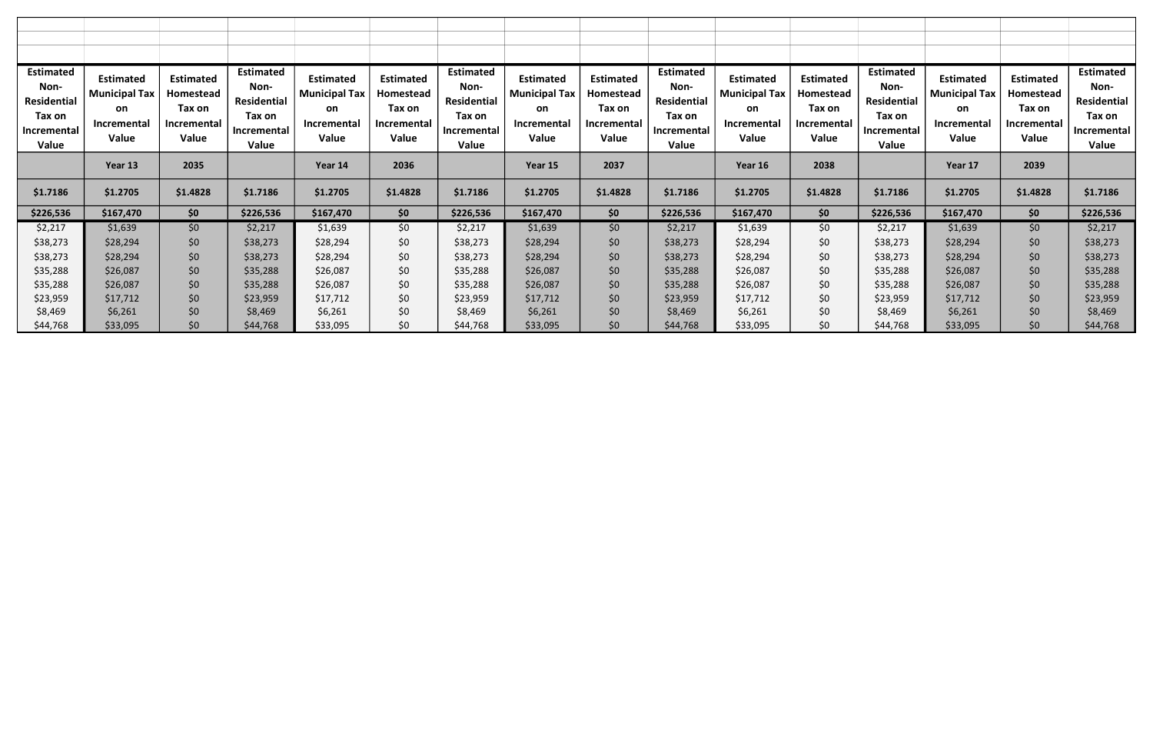| <b>Estimated</b><br>Non-<br><b>Residential</b><br>Tax on<br>Incremental<br>Value | <b>Estimated</b><br><b>Municipal Tax</b><br>on<br>Incremental<br>Value | <b>Estimated</b><br>Homestead<br>Tax on<br><b>Incremental</b><br>Value | <b>Estimated</b><br>Non-<br><b>Residential</b><br>Tax on<br>Incremental<br>Value | <b>Estimated</b><br><b>Municipal Tax</b><br>on<br>Incremental<br>Value | <b>Estimated</b><br>Homestead<br>Tax on<br>Incremental<br>Value | <b>Estimated</b><br>Non-<br><b>Residential</b><br>Tax on<br>Incremental<br>Value | <b>Estimated</b><br><b>Municipal Tax</b><br>on<br><b>Incremental</b><br>Value | <b>Estimated</b><br>Homestead<br>Tax on<br>Incremental<br>Value | <b>Estimated</b><br>Non-<br><b>Residential</b><br>Tax on<br>Incremental<br>Value | Estimated<br><b>Municipal Tax</b><br>on<br><b>Incremental</b><br>Value | <b>Estimated</b><br>Homestead<br>Tax on<br>Incremental<br>Value | <b>Estimated</b><br>Non-<br><b>Residential</b><br>Tax on<br><b>Incremental</b><br>Value | <b>Estimated</b><br><b>Municipal Tax</b><br>on<br>Incremental<br>Value | <b>Estimated</b><br><b>Homestead</b><br>Tax on<br>Incremental<br>Value | <b>Estimated</b><br>Non-<br>Residential<br>Tax on<br>Incremental<br>Value |
|----------------------------------------------------------------------------------|------------------------------------------------------------------------|------------------------------------------------------------------------|----------------------------------------------------------------------------------|------------------------------------------------------------------------|-----------------------------------------------------------------|----------------------------------------------------------------------------------|-------------------------------------------------------------------------------|-----------------------------------------------------------------|----------------------------------------------------------------------------------|------------------------------------------------------------------------|-----------------------------------------------------------------|-----------------------------------------------------------------------------------------|------------------------------------------------------------------------|------------------------------------------------------------------------|---------------------------------------------------------------------------|
|                                                                                  | Year 13                                                                | 2035                                                                   |                                                                                  | Year 14                                                                | 2036                                                            |                                                                                  | Year 15                                                                       | 2037                                                            |                                                                                  | Year 16                                                                | 2038                                                            |                                                                                         | Year 17                                                                | 2039                                                                   |                                                                           |
| \$1.7186                                                                         | \$1.2705                                                               | \$1.4828                                                               | \$1.7186                                                                         | \$1.2705                                                               | \$1.4828                                                        | \$1.7186                                                                         | \$1.2705                                                                      | \$1.4828                                                        | \$1.7186                                                                         | \$1.2705                                                               | \$1.4828                                                        | \$1.7186                                                                                | \$1.2705                                                               | \$1.4828                                                               | \$1.7186                                                                  |
| \$226,536                                                                        | \$167,470                                                              | \$0\$                                                                  | \$226,536                                                                        | \$167,470                                                              | \$0                                                             | \$226,536                                                                        | \$167,470                                                                     | \$0                                                             | \$226,536                                                                        | \$167,470                                                              | \$0\$                                                           | \$226,536                                                                               | \$167,470                                                              | \$0\$                                                                  | \$226,536                                                                 |
| \$2,217                                                                          | \$1,639                                                                | \$0                                                                    | \$2,217                                                                          | \$1,639                                                                | \$0                                                             | \$2,217                                                                          | \$1,639                                                                       | \$0                                                             | \$2,217                                                                          | \$1,639                                                                | \$0                                                             | \$2,217                                                                                 | \$1,639                                                                | \$0\$                                                                  | \$2,217                                                                   |
| \$38,273                                                                         | \$28,294                                                               | \$0                                                                    | \$38,273                                                                         | \$28,294                                                               | \$0                                                             | \$38,273                                                                         | \$28,294                                                                      | \$0                                                             | \$38,273                                                                         | \$28,294                                                               | \$0                                                             | \$38,273                                                                                | \$28,294                                                               | \$0                                                                    | \$38,273                                                                  |
| \$38,273                                                                         | \$28,294                                                               | \$0                                                                    | \$38,273                                                                         | \$28,294                                                               | \$0\$                                                           | \$38,273                                                                         | \$28,294                                                                      | \$0                                                             | \$38,273                                                                         | \$28,294                                                               | \$0                                                             | \$38,273                                                                                | \$28,294                                                               | \$0                                                                    | \$38,273                                                                  |
| \$35,288                                                                         | \$26,087                                                               | \$0\$                                                                  | \$35,288                                                                         | \$26,087                                                               | \$0                                                             | \$35,288                                                                         | \$26,087                                                                      | \$0                                                             | \$35,288                                                                         | \$26,087                                                               | \$0                                                             | \$35,288                                                                                | \$26,087                                                               | \$0                                                                    | \$35,288                                                                  |
| \$35,288                                                                         | \$26,087                                                               | \$0                                                                    | \$35,288                                                                         | \$26,087                                                               | \$0                                                             | \$35,288                                                                         | \$26,087                                                                      | \$0                                                             | \$35,288                                                                         | \$26,087                                                               | \$0                                                             | \$35,288                                                                                | \$26,087                                                               | \$0                                                                    | \$35,288                                                                  |
| \$23,959                                                                         | \$17,712                                                               | \$0\$                                                                  | \$23,959                                                                         | \$17,712                                                               | \$0                                                             | \$23,959                                                                         | \$17,712                                                                      | \$0                                                             | \$23,959                                                                         | \$17,712                                                               | \$0                                                             | \$23,959                                                                                | \$17,712                                                               | \$0                                                                    | \$23,959                                                                  |
| \$8,469                                                                          | \$6,261                                                                | \$0                                                                    | \$8,469                                                                          | \$6,261                                                                | \$0                                                             | \$8,469                                                                          | \$6,261                                                                       | \$0                                                             | \$8,469                                                                          | \$6,261                                                                | \$0                                                             | \$8,469                                                                                 | \$6,261                                                                | \$0                                                                    | \$8,469                                                                   |
| \$44,768                                                                         | \$33,095                                                               | \$0                                                                    | \$44,768                                                                         | \$33,095                                                               | \$0                                                             | \$44,768                                                                         | \$33,095                                                                      | \$0                                                             | \$44,768                                                                         | \$33,095                                                               | \$0                                                             | \$44,768                                                                                | \$33,095                                                               | \$0                                                                    | \$44,768                                                                  |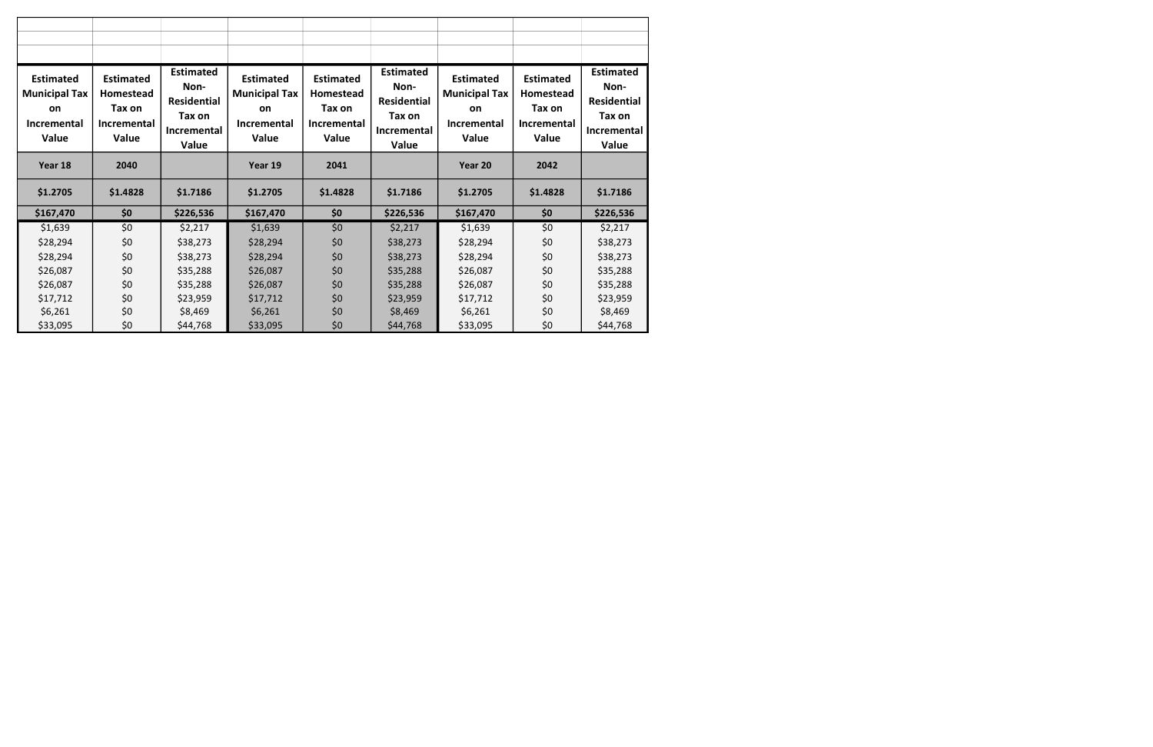| <b>Estimated</b><br><b>Municipal Tax</b><br><b>on</b><br><b>Incremental</b><br>Value | <b>Estimated</b><br>Homestead<br>Tax on<br>Incremental<br>Value | <b>Estimated</b><br>Non-<br><b>Residential</b><br>Tax on<br>Incremental<br>Value | <b>Estimated</b><br><b>Municipal Tax</b><br>on<br>Incremental<br>Value | <b>Estimated</b><br><b>Homestead</b><br>Tax on<br><b>Incremental</b><br>Value | <b>Estimated</b><br>Non-<br><b>Residential</b><br>Tax on<br>Incremental<br>Value | <b>Estimated</b><br><b>Municipal Tax</b><br><b>on</b><br>Incremental<br>Value | <b>Estimated</b><br>Homestead<br>Tax on<br>Incremental<br>Value | <b>Estimated</b><br>Non-<br><b>Residential</b><br>Tax on<br><b>Incremental</b><br>Value |
|--------------------------------------------------------------------------------------|-----------------------------------------------------------------|----------------------------------------------------------------------------------|------------------------------------------------------------------------|-------------------------------------------------------------------------------|----------------------------------------------------------------------------------|-------------------------------------------------------------------------------|-----------------------------------------------------------------|-----------------------------------------------------------------------------------------|
| Year 18                                                                              | 2040                                                            |                                                                                  | Year 19                                                                | 2041                                                                          |                                                                                  | Year 20                                                                       | 2042                                                            |                                                                                         |
| \$1.2705                                                                             | \$1.4828                                                        | \$1.7186                                                                         | \$1.2705                                                               | \$1.4828                                                                      | \$1.7186                                                                         | \$1.2705                                                                      | \$1.4828                                                        | \$1.7186                                                                                |
| \$167,470                                                                            | \$0                                                             | \$226,536                                                                        | \$167,470                                                              | \$0                                                                           | \$226,536                                                                        | \$167,470                                                                     | \$0\$                                                           | \$226,536                                                                               |
| \$1,639                                                                              | \$0                                                             | \$2,217                                                                          | \$1,639                                                                | \$0                                                                           | \$2,217                                                                          | \$1,639                                                                       | \$0                                                             | \$2,217                                                                                 |
| \$28,294                                                                             | \$0                                                             | \$38,273                                                                         | \$28,294                                                               | \$0                                                                           | \$38,273                                                                         | \$28,294                                                                      | \$0                                                             | \$38,273                                                                                |
| \$28,294                                                                             | \$0                                                             | \$38,273                                                                         | \$28,294                                                               | \$0                                                                           | \$38,273                                                                         | \$28,294                                                                      | \$0                                                             | \$38,273                                                                                |
| \$26,087                                                                             | \$0                                                             | \$35,288                                                                         | \$26,087                                                               | \$0                                                                           | \$35,288                                                                         | \$26,087                                                                      | \$0                                                             | \$35,288                                                                                |
| \$26,087                                                                             | \$0                                                             | \$35,288                                                                         | \$26,087                                                               | \$0                                                                           | \$35,288                                                                         | \$26,087                                                                      | \$0                                                             | \$35,288                                                                                |
| \$17,712                                                                             | \$0                                                             | \$23,959                                                                         | \$17,712                                                               | \$0                                                                           | \$23,959                                                                         | \$17,712                                                                      | \$0                                                             | \$23,959                                                                                |
| \$6,261                                                                              | \$0                                                             | \$8,469                                                                          | \$6,261                                                                | \$0                                                                           | \$8,469                                                                          | \$6,261                                                                       | \$0                                                             | \$8,469                                                                                 |
| \$33,095                                                                             | \$0                                                             | \$44,768                                                                         | \$33,095                                                               | \$0                                                                           | \$44,768                                                                         | \$33,095                                                                      | \$0                                                             | \$44,768                                                                                |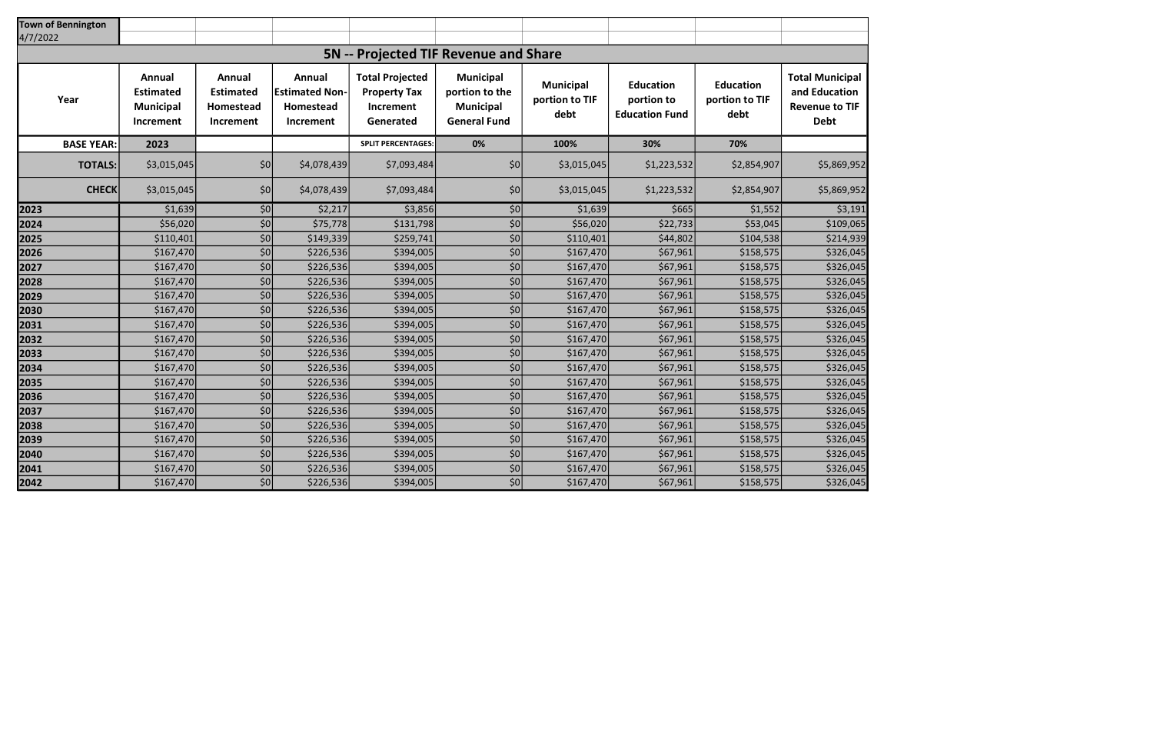| <b>5N -- Projected TIF Revenue and Share</b><br><b>Total Projected</b><br><b>Annual</b><br><b>Annual</b><br><b>Annual</b><br><b>Municipal</b><br><b>Municipal</b><br><b>Education</b><br><b>Education</b><br><b>Estimated</b><br><b>Estimated</b><br><b>Estimated Non-</b><br><b>Property Tax</b><br>portion to the<br>Year<br>portion to TIF<br>portion to<br>portion to TIF<br><b>Municipal</b><br><b>Municipal</b><br>Homestead<br>Homestead<br>Increment<br>debt<br><b>Education Fund</b><br>debt<br><b>Debt</b><br><b>General Fund</b><br>Increment<br>Increment<br>Increment<br>Generated<br><b>BASE YEAR:</b><br>2023<br><b>SPLIT PERCENTAGES:</b><br>0%<br>100%<br>30%<br>70%<br>\$0<br>\$4,078,439<br> 50 <br><b>TOTALS:</b><br>\$3,015,045<br>\$7,093,484<br>\$3,015,045<br>\$1,223,532<br>\$2,854,907<br><b>CHECK</b><br>\$3,015,045<br>\$0<br>\$4,078,439<br>\$7,093,484<br> 50 <br>\$2,854,907<br>\$3,015,045<br>\$1,223,532<br>2023<br>\$0<br> 50 <br>\$3,856<br>\$1,639<br>\$2,217<br>\$1,639<br>\$665<br>\$1,552<br>2024<br>$\frac{1}{2}$<br>\$0<br>\$56,020<br>\$75,778<br>\$131,798<br>\$56,020<br>\$53,045<br>\$22,733<br> 50 <br>\$0<br>2025<br>\$149,339<br>\$110,401<br>\$110,401<br>\$259,741<br>\$44,802<br>\$104,538<br>\$0<br>\$0<br>2026<br>\$167,470<br>\$226,536<br>\$394,005<br>\$167,470<br>\$67,961<br>\$158,575<br>2027<br> 50 <br>\$0<br>\$226,536<br>\$167,470<br>\$394,005<br>\$167,470<br>\$67,961<br>\$158,575<br>2028<br>50<br>\$0<br>\$226,536<br>\$67,961<br>\$167,470<br>\$394,005<br>\$167,470<br>\$158,575<br>$\vert \zeta 0 \vert$<br>\$0<br>2029<br>\$167,470<br>\$226,536<br>\$394,005<br>\$167,470<br>\$67,961<br>\$158,575<br> 50 <br>\$0<br>2030<br>\$226,536<br>\$394,005<br>\$167,470<br>\$67,961<br>\$158,575<br>\$167,470<br>$\overline{\S0}$<br>\$0<br>2031<br>\$167,470<br>\$226,536<br>\$394,005<br>\$167,470<br>\$67,961<br>\$158,575<br>\$0<br>2032<br>\$0<br>\$226,536<br>\$167,470<br>\$167,470<br>\$394,005<br>\$67,961<br>\$158,575<br>2033<br>\$0<br>$\left 50\right $<br>\$226,536<br>\$167,470<br>\$394,005<br>\$167,470<br>\$67,961<br>\$158,575<br>2034<br>\$0<br>\$0<br>\$167,470<br>\$226,536<br>\$394,005<br>\$167,470<br>\$67,961<br>\$158,575<br>\$0<br>\$0<br>2035<br>\$226,536<br>\$167,470<br>\$158,575<br>\$167,470<br>\$394,005<br>\$67,961<br>$\overline{\$0}$<br>2036<br>\$0<br>\$167,470<br>\$226,536<br>\$167,470<br>\$67,961<br>\$158,575<br>\$394,005<br>\$0<br>$$0$$<br>\$226,536<br>\$167,470<br>\$394,005<br>\$167,470<br>\$67,961<br>\$158,575<br>2038<br> 50 <br>\$0<br>\$226,536<br>\$167,470<br>\$394,005<br>\$167,470<br>\$67,961<br>\$158,575<br>2039<br> 50 <br>$$0$$<br>\$167,470<br>\$167,470<br>\$226,536<br>\$394,005<br>\$67,961<br>\$158,575 | <b>Town of Bennington</b><br>4/7/2022 |           |     |           |           |                       |           |          |           |                                                                  |
|--------------------------------------------------------------------------------------------------------------------------------------------------------------------------------------------------------------------------------------------------------------------------------------------------------------------------------------------------------------------------------------------------------------------------------------------------------------------------------------------------------------------------------------------------------------------------------------------------------------------------------------------------------------------------------------------------------------------------------------------------------------------------------------------------------------------------------------------------------------------------------------------------------------------------------------------------------------------------------------------------------------------------------------------------------------------------------------------------------------------------------------------------------------------------------------------------------------------------------------------------------------------------------------------------------------------------------------------------------------------------------------------------------------------------------------------------------------------------------------------------------------------------------------------------------------------------------------------------------------------------------------------------------------------------------------------------------------------------------------------------------------------------------------------------------------------------------------------------------------------------------------------------------------------------------------------------------------------------------------------------------------------------------------------------------------------------------------------------------------------------------------------------------------------------------------------------------------------------------------------------------------------------------------------------------------------------------------------------------------------------------------------------------------------------------------------------------------------------------------------------------------------------------------------------------------------------------------------------------------------------------------------------------------------------------------------------------------------------------------------------|---------------------------------------|-----------|-----|-----------|-----------|-----------------------|-----------|----------|-----------|------------------------------------------------------------------|
|                                                                                                                                                                                                                                                                                                                                                                                                                                                                                                                                                                                                                                                                                                                                                                                                                                                                                                                                                                                                                                                                                                                                                                                                                                                                                                                                                                                                                                                                                                                                                                                                                                                                                                                                                                                                                                                                                                                                                                                                                                                                                                                                                                                                                                                                                                                                                                                                                                                                                                                                                                                                                                                                                                                                                  |                                       |           |     |           |           |                       |           |          |           |                                                                  |
|                                                                                                                                                                                                                                                                                                                                                                                                                                                                                                                                                                                                                                                                                                                                                                                                                                                                                                                                                                                                                                                                                                                                                                                                                                                                                                                                                                                                                                                                                                                                                                                                                                                                                                                                                                                                                                                                                                                                                                                                                                                                                                                                                                                                                                                                                                                                                                                                                                                                                                                                                                                                                                                                                                                                                  |                                       |           |     |           |           |                       |           |          |           | <b>Total Municipal</b><br>and Education<br><b>Revenue to TIF</b> |
|                                                                                                                                                                                                                                                                                                                                                                                                                                                                                                                                                                                                                                                                                                                                                                                                                                                                                                                                                                                                                                                                                                                                                                                                                                                                                                                                                                                                                                                                                                                                                                                                                                                                                                                                                                                                                                                                                                                                                                                                                                                                                                                                                                                                                                                                                                                                                                                                                                                                                                                                                                                                                                                                                                                                                  |                                       |           |     |           |           |                       |           |          |           |                                                                  |
| 2037                                                                                                                                                                                                                                                                                                                                                                                                                                                                                                                                                                                                                                                                                                                                                                                                                                                                                                                                                                                                                                                                                                                                                                                                                                                                                                                                                                                                                                                                                                                                                                                                                                                                                                                                                                                                                                                                                                                                                                                                                                                                                                                                                                                                                                                                                                                                                                                                                                                                                                                                                                                                                                                                                                                                             |                                       |           |     |           |           |                       |           |          |           | \$5,869,952                                                      |
|                                                                                                                                                                                                                                                                                                                                                                                                                                                                                                                                                                                                                                                                                                                                                                                                                                                                                                                                                                                                                                                                                                                                                                                                                                                                                                                                                                                                                                                                                                                                                                                                                                                                                                                                                                                                                                                                                                                                                                                                                                                                                                                                                                                                                                                                                                                                                                                                                                                                                                                                                                                                                                                                                                                                                  |                                       |           |     |           |           |                       |           |          |           | \$5,869,952                                                      |
|                                                                                                                                                                                                                                                                                                                                                                                                                                                                                                                                                                                                                                                                                                                                                                                                                                                                                                                                                                                                                                                                                                                                                                                                                                                                                                                                                                                                                                                                                                                                                                                                                                                                                                                                                                                                                                                                                                                                                                                                                                                                                                                                                                                                                                                                                                                                                                                                                                                                                                                                                                                                                                                                                                                                                  |                                       |           |     |           |           |                       |           |          |           | \$3,191                                                          |
|                                                                                                                                                                                                                                                                                                                                                                                                                                                                                                                                                                                                                                                                                                                                                                                                                                                                                                                                                                                                                                                                                                                                                                                                                                                                                                                                                                                                                                                                                                                                                                                                                                                                                                                                                                                                                                                                                                                                                                                                                                                                                                                                                                                                                                                                                                                                                                                                                                                                                                                                                                                                                                                                                                                                                  |                                       |           |     |           |           |                       |           |          |           | \$109,065                                                        |
|                                                                                                                                                                                                                                                                                                                                                                                                                                                                                                                                                                                                                                                                                                                                                                                                                                                                                                                                                                                                                                                                                                                                                                                                                                                                                                                                                                                                                                                                                                                                                                                                                                                                                                                                                                                                                                                                                                                                                                                                                                                                                                                                                                                                                                                                                                                                                                                                                                                                                                                                                                                                                                                                                                                                                  |                                       |           |     |           |           |                       |           |          |           | \$214,939                                                        |
|                                                                                                                                                                                                                                                                                                                                                                                                                                                                                                                                                                                                                                                                                                                                                                                                                                                                                                                                                                                                                                                                                                                                                                                                                                                                                                                                                                                                                                                                                                                                                                                                                                                                                                                                                                                                                                                                                                                                                                                                                                                                                                                                                                                                                                                                                                                                                                                                                                                                                                                                                                                                                                                                                                                                                  |                                       |           |     |           |           |                       |           |          |           | \$326,045                                                        |
|                                                                                                                                                                                                                                                                                                                                                                                                                                                                                                                                                                                                                                                                                                                                                                                                                                                                                                                                                                                                                                                                                                                                                                                                                                                                                                                                                                                                                                                                                                                                                                                                                                                                                                                                                                                                                                                                                                                                                                                                                                                                                                                                                                                                                                                                                                                                                                                                                                                                                                                                                                                                                                                                                                                                                  |                                       |           |     |           |           |                       |           |          |           | \$326,045                                                        |
|                                                                                                                                                                                                                                                                                                                                                                                                                                                                                                                                                                                                                                                                                                                                                                                                                                                                                                                                                                                                                                                                                                                                                                                                                                                                                                                                                                                                                                                                                                                                                                                                                                                                                                                                                                                                                                                                                                                                                                                                                                                                                                                                                                                                                                                                                                                                                                                                                                                                                                                                                                                                                                                                                                                                                  |                                       |           |     |           |           |                       |           |          |           | \$326,045                                                        |
|                                                                                                                                                                                                                                                                                                                                                                                                                                                                                                                                                                                                                                                                                                                                                                                                                                                                                                                                                                                                                                                                                                                                                                                                                                                                                                                                                                                                                                                                                                                                                                                                                                                                                                                                                                                                                                                                                                                                                                                                                                                                                                                                                                                                                                                                                                                                                                                                                                                                                                                                                                                                                                                                                                                                                  |                                       |           |     |           |           |                       |           |          |           | \$326,045                                                        |
|                                                                                                                                                                                                                                                                                                                                                                                                                                                                                                                                                                                                                                                                                                                                                                                                                                                                                                                                                                                                                                                                                                                                                                                                                                                                                                                                                                                                                                                                                                                                                                                                                                                                                                                                                                                                                                                                                                                                                                                                                                                                                                                                                                                                                                                                                                                                                                                                                                                                                                                                                                                                                                                                                                                                                  |                                       |           |     |           |           |                       |           |          |           | \$326,045                                                        |
|                                                                                                                                                                                                                                                                                                                                                                                                                                                                                                                                                                                                                                                                                                                                                                                                                                                                                                                                                                                                                                                                                                                                                                                                                                                                                                                                                                                                                                                                                                                                                                                                                                                                                                                                                                                                                                                                                                                                                                                                                                                                                                                                                                                                                                                                                                                                                                                                                                                                                                                                                                                                                                                                                                                                                  |                                       |           |     |           |           |                       |           |          |           | \$326,045                                                        |
|                                                                                                                                                                                                                                                                                                                                                                                                                                                                                                                                                                                                                                                                                                                                                                                                                                                                                                                                                                                                                                                                                                                                                                                                                                                                                                                                                                                                                                                                                                                                                                                                                                                                                                                                                                                                                                                                                                                                                                                                                                                                                                                                                                                                                                                                                                                                                                                                                                                                                                                                                                                                                                                                                                                                                  |                                       |           |     |           |           |                       |           |          |           | \$326,045                                                        |
|                                                                                                                                                                                                                                                                                                                                                                                                                                                                                                                                                                                                                                                                                                                                                                                                                                                                                                                                                                                                                                                                                                                                                                                                                                                                                                                                                                                                                                                                                                                                                                                                                                                                                                                                                                                                                                                                                                                                                                                                                                                                                                                                                                                                                                                                                                                                                                                                                                                                                                                                                                                                                                                                                                                                                  |                                       |           |     |           |           |                       |           |          |           | \$326,045                                                        |
|                                                                                                                                                                                                                                                                                                                                                                                                                                                                                                                                                                                                                                                                                                                                                                                                                                                                                                                                                                                                                                                                                                                                                                                                                                                                                                                                                                                                                                                                                                                                                                                                                                                                                                                                                                                                                                                                                                                                                                                                                                                                                                                                                                                                                                                                                                                                                                                                                                                                                                                                                                                                                                                                                                                                                  |                                       |           |     |           |           |                       |           |          |           | \$326,045                                                        |
|                                                                                                                                                                                                                                                                                                                                                                                                                                                                                                                                                                                                                                                                                                                                                                                                                                                                                                                                                                                                                                                                                                                                                                                                                                                                                                                                                                                                                                                                                                                                                                                                                                                                                                                                                                                                                                                                                                                                                                                                                                                                                                                                                                                                                                                                                                                                                                                                                                                                                                                                                                                                                                                                                                                                                  |                                       |           |     |           |           |                       |           |          |           | \$326,045                                                        |
|                                                                                                                                                                                                                                                                                                                                                                                                                                                                                                                                                                                                                                                                                                                                                                                                                                                                                                                                                                                                                                                                                                                                                                                                                                                                                                                                                                                                                                                                                                                                                                                                                                                                                                                                                                                                                                                                                                                                                                                                                                                                                                                                                                                                                                                                                                                                                                                                                                                                                                                                                                                                                                                                                                                                                  |                                       |           |     |           |           |                       |           |          |           | \$326,045                                                        |
|                                                                                                                                                                                                                                                                                                                                                                                                                                                                                                                                                                                                                                                                                                                                                                                                                                                                                                                                                                                                                                                                                                                                                                                                                                                                                                                                                                                                                                                                                                                                                                                                                                                                                                                                                                                                                                                                                                                                                                                                                                                                                                                                                                                                                                                                                                                                                                                                                                                                                                                                                                                                                                                                                                                                                  |                                       |           |     |           |           |                       |           |          |           | \$326,045                                                        |
|                                                                                                                                                                                                                                                                                                                                                                                                                                                                                                                                                                                                                                                                                                                                                                                                                                                                                                                                                                                                                                                                                                                                                                                                                                                                                                                                                                                                                                                                                                                                                                                                                                                                                                                                                                                                                                                                                                                                                                                                                                                                                                                                                                                                                                                                                                                                                                                                                                                                                                                                                                                                                                                                                                                                                  |                                       |           |     |           |           |                       |           |          |           | \$326,045                                                        |
|                                                                                                                                                                                                                                                                                                                                                                                                                                                                                                                                                                                                                                                                                                                                                                                                                                                                                                                                                                                                                                                                                                                                                                                                                                                                                                                                                                                                                                                                                                                                                                                                                                                                                                                                                                                                                                                                                                                                                                                                                                                                                                                                                                                                                                                                                                                                                                                                                                                                                                                                                                                                                                                                                                                                                  |                                       |           |     |           |           |                       |           |          |           | \$326,045                                                        |
|                                                                                                                                                                                                                                                                                                                                                                                                                                                                                                                                                                                                                                                                                                                                                                                                                                                                                                                                                                                                                                                                                                                                                                                                                                                                                                                                                                                                                                                                                                                                                                                                                                                                                                                                                                                                                                                                                                                                                                                                                                                                                                                                                                                                                                                                                                                                                                                                                                                                                                                                                                                                                                                                                                                                                  | 2040                                  | \$167,470 | \$0 | \$226,536 | \$394,005 | $\vert \zeta 0 \vert$ | \$167,470 | \$67,961 | \$158,575 | \$326,045                                                        |
| 50 <br>$$0$$<br>2041<br>\$167,470<br>\$226,536<br>\$167,470<br>\$67,961<br>\$394,005<br>\$158,575                                                                                                                                                                                                                                                                                                                                                                                                                                                                                                                                                                                                                                                                                                                                                                                                                                                                                                                                                                                                                                                                                                                                                                                                                                                                                                                                                                                                                                                                                                                                                                                                                                                                                                                                                                                                                                                                                                                                                                                                                                                                                                                                                                                                                                                                                                                                                                                                                                                                                                                                                                                                                                                |                                       |           |     |           |           |                       |           |          |           | \$326,045                                                        |
| 50 <br>2042<br>\$0<br>\$167,470<br>\$226,536<br>\$394,005<br>\$167,470<br>\$67,961<br>\$158,575                                                                                                                                                                                                                                                                                                                                                                                                                                                                                                                                                                                                                                                                                                                                                                                                                                                                                                                                                                                                                                                                                                                                                                                                                                                                                                                                                                                                                                                                                                                                                                                                                                                                                                                                                                                                                                                                                                                                                                                                                                                                                                                                                                                                                                                                                                                                                                                                                                                                                                                                                                                                                                                  |                                       |           |     |           |           |                       |           |          |           | \$326,045                                                        |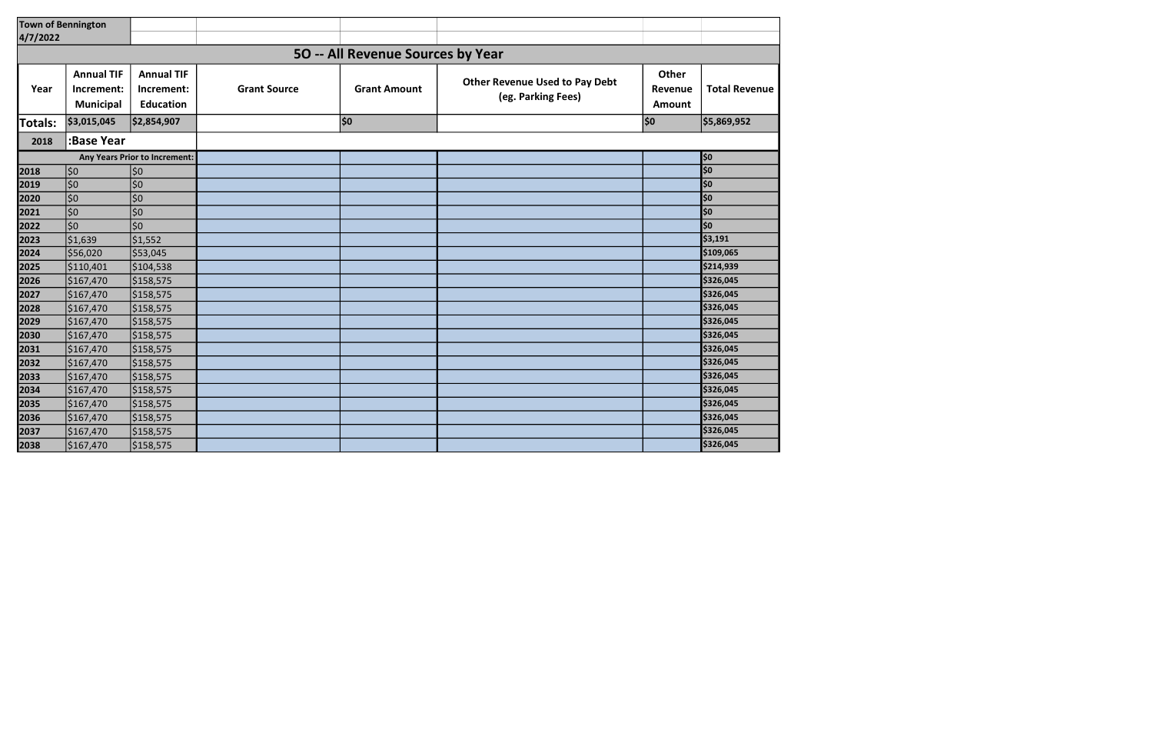| 4/7/2022 | <b>Town of Bennington</b>                           |                                                     |                     |                                   |                                                             |                            |                      |
|----------|-----------------------------------------------------|-----------------------------------------------------|---------------------|-----------------------------------|-------------------------------------------------------------|----------------------------|----------------------|
|          |                                                     |                                                     |                     | 50 -- All Revenue Sources by Year |                                                             |                            |                      |
| Year     | <b>Annual TIF</b><br>Increment:<br><b>Municipal</b> | <b>Annual TIF</b><br>Increment:<br><b>Education</b> | <b>Grant Source</b> | <b>Grant Amount</b>               | <b>Other Revenue Used to Pay Debt</b><br>(eg. Parking Fees) | Other<br>Revenue<br>Amount | <b>Total Revenue</b> |
| Totals:  | \$3,015,045                                         | \$2,854,907                                         |                     | 50                                |                                                             | \$0                        | \$5,869,952          |
| 2018     | :Base Year                                          |                                                     |                     |                                   |                                                             |                            |                      |
|          |                                                     | Any Years Prior to Increment:                       |                     |                                   |                                                             |                            | ס\$                  |
| 2018     | \$0                                                 | 50                                                  |                     |                                   |                                                             |                            | \$0                  |
| 2019     | 6\$∣                                                | \$0                                                 |                     |                                   |                                                             |                            | \$0                  |
| 2020     | 1\$ס                                                | \$0                                                 |                     |                                   |                                                             |                            | \$0                  |
| 2021     | 1\$ס                                                | 50                                                  |                     |                                   |                                                             |                            | \$0                  |
| 2022     | $ $ \$0                                             | \$0                                                 |                     |                                   |                                                             |                            | \$0                  |
| 2023     | \$1,639                                             | \$1,552                                             |                     |                                   |                                                             |                            | \$3,191              |
| 2024     | \$56,020                                            | \$53,045                                            |                     |                                   |                                                             |                            | \$109,065            |
| 2025     | \$110,401                                           | \$104,538                                           |                     |                                   |                                                             |                            | \$214,939            |
| 2026     | \$167,470                                           | \$158,575                                           |                     |                                   |                                                             |                            | \$326,045            |
| 2027     | \$167,470                                           | \$158,575                                           |                     |                                   |                                                             |                            | \$326,045            |
| 2028     | \$167,470                                           | \$158,575                                           |                     |                                   |                                                             |                            | \$326,045            |
| 2029     | \$167,470                                           | \$158,575                                           |                     |                                   |                                                             |                            | \$326,045            |
| 2030     | \$167,470                                           | \$158,575                                           |                     |                                   |                                                             |                            | \$326,045            |
| 2031     | \$167,470                                           | \$158,575                                           |                     |                                   |                                                             |                            | \$326,045            |
| 2032     | \$167,470                                           | \$158,575                                           |                     |                                   |                                                             |                            | \$326,045            |
| 2033     | \$167,470                                           | \$158,575                                           |                     |                                   |                                                             |                            | \$326,045            |
| 2034     | \$167,470                                           | \$158,575                                           |                     |                                   |                                                             |                            | \$326,045            |
| 2035     | \$167,470                                           | \$158,575                                           |                     |                                   |                                                             |                            | \$326,045            |
| 2036     | \$167,470                                           | \$158,575                                           |                     |                                   |                                                             |                            | \$326,045            |
| 2037     | \$167,470                                           | \$158,575                                           |                     |                                   |                                                             |                            | \$326,045            |
| 2038     | \$167,470                                           | \$158,575                                           |                     |                                   |                                                             |                            | \$326,045            |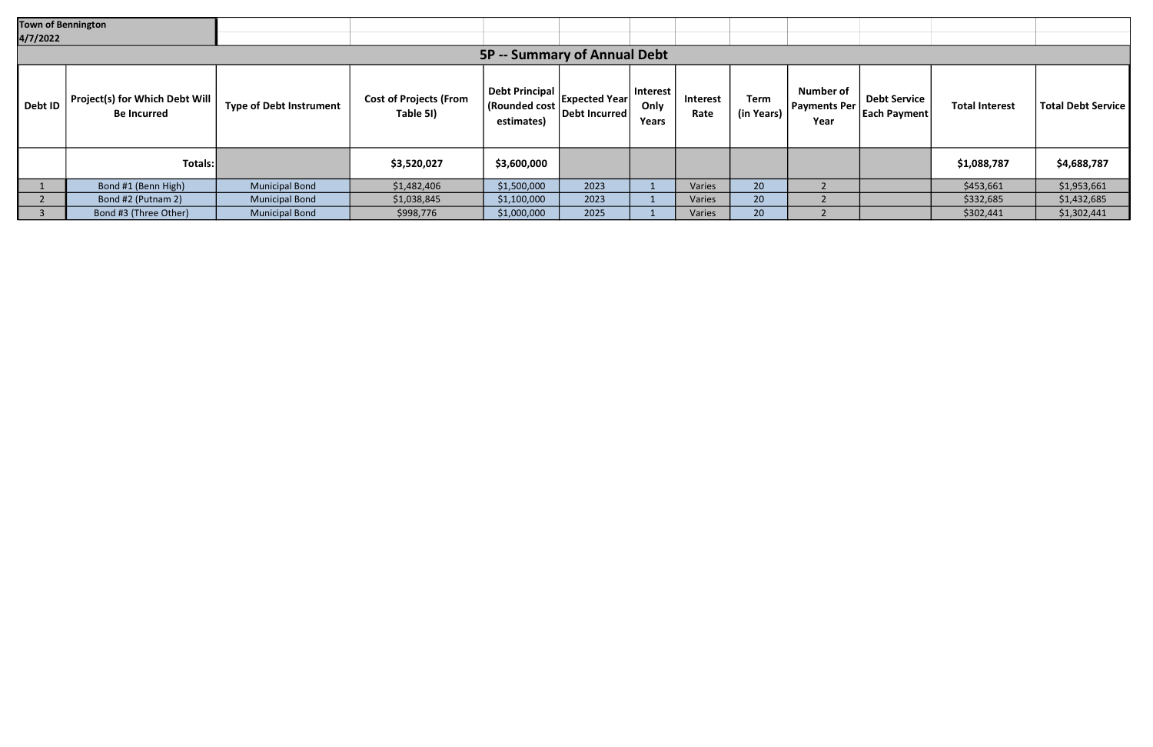| <b>Town of Bennington</b><br>4/7/2022 |                                                      |                                |                                            |                                                      |                                       |                           |                  |                    |                                            |                                            |                       |                           |
|---------------------------------------|------------------------------------------------------|--------------------------------|--------------------------------------------|------------------------------------------------------|---------------------------------------|---------------------------|------------------|--------------------|--------------------------------------------|--------------------------------------------|-----------------------|---------------------------|
|                                       | 5P -- Summary of Annual Debt                         |                                |                                            |                                                      |                                       |                           |                  |                    |                                            |                                            |                       |                           |
| Debt ID                               | Project(s) for Which Debt Will<br><b>Be Incurred</b> | <b>Type of Debt Instrument</b> | <b>Cost of Projects (From</b><br>Table 5I) | <b>Debt Principal</b><br>(Rounded cost<br>estimates) | <b>Expected Year</b><br>Debt Incurred | Interest<br>Only<br>Years | Interest<br>Rate | Term<br>(in Years) | <b>Number of</b><br>  Payments Per<br>Year | <b>Debt Service</b><br><b>Each Payment</b> | <b>Total Interest</b> | <b>Total Debt Service</b> |
|                                       | Totals:                                              |                                | \$3,520,027                                | \$3,600,000                                          |                                       |                           |                  |                    |                                            |                                            | \$1,088,787           | \$4,688,787               |
|                                       | Bond #1 (Benn High)                                  | <b>Municipal Bond</b>          | \$1,482,406                                | \$1,500,000                                          | 2023                                  |                           | Varies           | 20                 |                                            |                                            | \$453,661             | \$1,953,661               |
|                                       | Bond #2 (Putnam 2)                                   | <b>Municipal Bond</b>          | \$1,038,845                                | \$1,100,000                                          | 2023                                  |                           | Varies           | 20 <sup>1</sup>    |                                            |                                            | \$332,685             | \$1,432,685               |
|                                       | Bond #3 (Three Other)                                | <b>Municipal Bond</b>          | \$998,776                                  | \$1,000,000                                          | 2025                                  |                           | Varies           | 20 <sup>°</sup>    |                                            |                                            | \$302,441             | \$1,302,441               |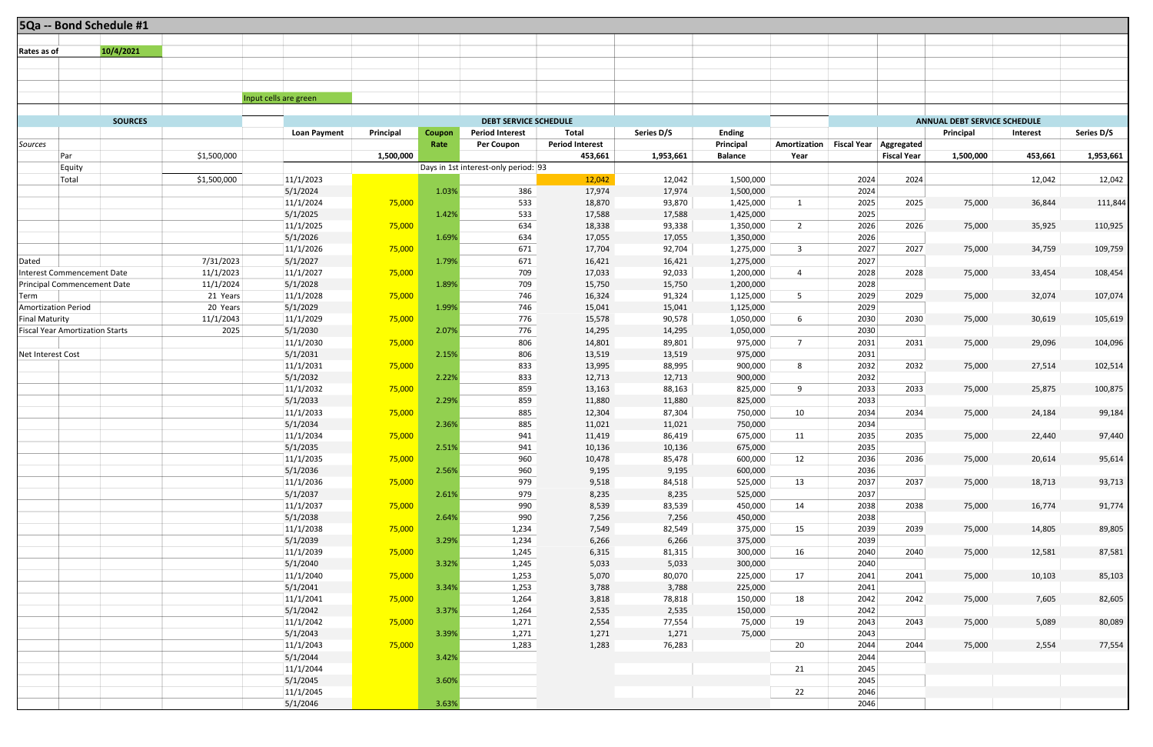|                            | 5Qa -- Bond Schedule #1                |                   |                       |           |        |                                      |                        |                  |                        |                                     |              |                    |                                     |          |            |
|----------------------------|----------------------------------------|-------------------|-----------------------|-----------|--------|--------------------------------------|------------------------|------------------|------------------------|-------------------------------------|--------------|--------------------|-------------------------------------|----------|------------|
|                            |                                        |                   |                       |           |        |                                      |                        |                  |                        |                                     |              |                    |                                     |          |            |
| Rates as of                | 10/4/2021                              |                   |                       |           |        |                                      |                        |                  |                        |                                     |              |                    |                                     |          |            |
|                            |                                        |                   |                       |           |        |                                      |                        |                  |                        |                                     |              |                    |                                     |          |            |
|                            |                                        |                   |                       |           |        |                                      |                        |                  |                        |                                     |              |                    |                                     |          |            |
|                            |                                        |                   | Input cells are green |           |        |                                      |                        |                  |                        |                                     |              |                    |                                     |          |            |
|                            |                                        |                   |                       |           |        |                                      |                        |                  |                        |                                     |              |                    |                                     |          |            |
|                            | <b>SOURCES</b>                         |                   |                       |           |        | <b>DEBT SERVICE SCHEDULE</b>         |                        |                  |                        |                                     |              |                    | <b>ANNUAL DEBT SERVICE SCHEDULE</b> |          |            |
|                            |                                        |                   | <b>Loan Payment</b>   | Principal | Coupon | <b>Period Interest</b>               | <b>Total</b>           | Series D/S       | <b>Ending</b>          |                                     |              |                    | Principal                           | Interest | Series D/S |
| Sources                    |                                        |                   |                       |           | Rate   | <b>Per Coupon</b>                    | <b>Period Interest</b> |                  | Principal              | Amortization Fiscal Year Aggregated |              |                    |                                     |          |            |
|                            | Par                                    | \$1,500,000       |                       | 1,500,000 |        |                                      | 453,661                | 1,953,661        | <b>Balance</b>         | Year                                |              | <b>Fiscal Year</b> | 1,500,000                           | 453,661  | 1,953,661  |
|                            | Equity                                 |                   |                       |           |        | Days in 1st interest-only period: 93 |                        |                  |                        |                                     |              |                    |                                     |          |            |
|                            | Total                                  | \$1,500,000       | 11/1/2023             |           |        |                                      | 12,042                 | 12,042           | 1,500,000              |                                     | 2024         | 2024               |                                     | 12,042   | 12,042     |
|                            |                                        |                   | 5/1/2024              |           | 1.03%  | 386                                  | 17,974                 | 17,974           | 1,500,000              |                                     | 2024         |                    |                                     |          |            |
|                            |                                        |                   | 11/1/2024             | 75,000    |        | 533                                  | 18,870                 | 93,870           | 1,425,000              | 1                                   | 2025         | 2025               | 75,000                              | 36,844   | 111,844    |
|                            |                                        |                   | 5/1/2025              |           | 1.42%  | 533                                  | 17,588                 | 17,588           | 1,425,000              |                                     | 2025         |                    |                                     |          |            |
|                            |                                        |                   | 11/1/2025             | 75,000    |        | 634                                  | 18,338                 | 93,338           | 1,350,000              | $\overline{2}$                      | 2026         | 2026               | 75,000                              | 35,925   | 110,925    |
|                            |                                        |                   | 5/1/2026              |           | 1.69%  | 634                                  | 17,055                 | 17,055           | 1,350,000              |                                     | 2026         |                    |                                     |          |            |
|                            |                                        |                   | 11/1/2026             | 75,000    |        | 671                                  | 17,704                 | 92,704           | 1,275,000              | $\overline{3}$                      | 2027         | 2027               | 75,000                              | 34,759   | 109,759    |
| Dated                      |                                        | 7/31/2023         | 5/1/2027              |           | 1.79%  | 671                                  | 16,421                 | 16,421           | 1,275,000              |                                     | 2027         |                    |                                     |          |            |
|                            | Interest Commencement Date             | 11/1/2023         | 11/1/2027             | 75,000    |        | 709                                  | 17,033                 | 92,033           | 1,200,000              | $\overline{4}$                      | 2028         | 2028               | 75,000                              | 33,454   | 108,454    |
|                            | <b>Principal Commencement Date</b>     | 11/1/2024         | 5/1/2028              |           | 1.89%  | 709                                  | 15,750                 | 15,750           | 1,200,000              |                                     | 2028         |                    |                                     |          |            |
| Term                       |                                        | 21 Years          | 11/1/2028             | 75,000    |        | 746                                  | 16,324                 | 91,324           | 1,125,000              | $5\overline{)}$                     | 2029         | 2029               | 75,000                              | 32,074   | 107,074    |
| <b>Amortization Period</b> |                                        | 20 Years          | 5/1/2029              |           | 1.99%  | 746                                  | 15,041                 | 15,041           | 1,125,000              | 6                                   | 2029         |                    |                                     |          |            |
| <b>Final Maturity</b>      | <b>Fiscal Year Amortization Starts</b> | 11/1/2043<br>2025 | 11/1/2029<br>5/1/2030 | 75,000    | 2.07%  | 776<br>776                           | 15,578<br>14,295       | 90,578<br>14,295 | 1,050,000<br>1,050,000 |                                     | 2030<br>2030 | 2030               | 75,000                              | 30,619   | 105,619    |
|                            |                                        |                   | 11/1/2030             | 75,000    |        | 806                                  | 14,801                 | 89,801           | 975,000                | $7\overline{ }$                     | 2031         | 2031               | 75,000                              | 29,096   | 104,096    |
| Net Interest Cost          |                                        |                   | 5/1/2031              |           | 2.15%  | 806                                  | 13,519                 | 13,519           | 975,000                |                                     | 2031         |                    |                                     |          |            |
|                            |                                        |                   | 11/1/2031             | 75,000    |        | 833                                  | 13,995                 | 88,995           | 900,000                | 8                                   | 2032         | 2032               | 75,000                              | 27,514   | 102,514    |
|                            |                                        |                   | 5/1/2032              |           | 2.22%  | 833                                  | 12,713                 | 12,713           | 900,000                |                                     | 2032         |                    |                                     |          |            |
|                            |                                        |                   | 11/1/2032             | 75,000    |        | 859                                  | 13,163                 | 88,163           | 825,000                | 9                                   | 2033         | 2033               | 75,000                              | 25,875   | 100,875    |
|                            |                                        |                   | 5/1/2033              |           | 2.29%  | 859                                  | 11,880                 | 11,880           | 825,000                |                                     | 2033         |                    |                                     |          |            |
|                            |                                        |                   | 11/1/2033             | 75,000    |        | 885                                  | 12,304                 | 87,304           | 750,000                | 10                                  | 2034         | 2034               | 75,000                              | 24,184   | 99,184     |
|                            |                                        |                   | 5/1/2034              |           | 2.36%  | 885                                  | 11,021                 | 11,021           | 750,000                |                                     | 2034         |                    |                                     |          |            |
|                            |                                        |                   | 11/1/2034             | 75,000    |        | 941                                  | 11,419                 | 86,419           | 675,000                | 11                                  | 2035         | 2035               | 75,000                              | 22,440   | 97,440     |
|                            |                                        |                   | 5/1/2035              |           | 2.51%  | 941                                  | 10,136                 | 10,136           | 675,000                |                                     | 2035         |                    |                                     |          |            |
|                            |                                        |                   | 11/1/2035             | 75,000    |        | 960                                  | 10,478                 | 85,478           | 600,000                | 12                                  | 2036         | 2036               | 75,000                              | 20,614   | 95,614     |
|                            |                                        |                   | 5/1/2036              |           | 2.56%  | 960                                  | 9,195                  | 9,195            | 600,000                |                                     | 2036         |                    |                                     |          |            |
|                            |                                        |                   | 11/1/2036             | 75,000    |        | 979                                  | 9,518                  | 84,518           | 525,000                | 13                                  | 2037         | 2037               | 75,000                              | 18,713   | 93,713     |
|                            |                                        |                   | 5/1/2037              |           | 2.61%  | 979                                  | 8,235                  | 8,235            | 525,000                |                                     | 2037         |                    |                                     |          |            |
|                            |                                        |                   | 11/1/2037             | 75,000    |        | 990                                  | 8,539                  | 83,539           | 450,000                | 14                                  | 2038         | 2038               | 75,000                              | 16,774   | 91,774     |
|                            |                                        |                   | 5/1/2038              |           | 2.64%  | 990                                  | 7,256                  | 7,256            | 450,000                |                                     | 2038         |                    |                                     |          |            |
|                            |                                        |                   | 11/1/2038             | 75,000    |        | 1,234                                | 7,549                  | 82,549           | 375,000                | 15                                  | 2039         | 2039               | 75,000                              | 14,805   | 89,805     |
|                            |                                        |                   | 5/1/2039<br>11/1/2039 | 75,000    | 3.29%  | 1,234<br>1,245                       | 6,266<br>6,315         | 6,266<br>81,315  | 375,000<br>300,000     | 16                                  | 2039<br>2040 | 2040               | 75,000                              | 12,581   | 87,581     |
|                            |                                        |                   | 5/1/2040              |           | 3.32%  | 1,245                                | 5,033                  | 5,033            | 300,000                |                                     | 2040         |                    |                                     |          |            |
|                            |                                        |                   | 11/1/2040             | 75,000    |        | 1,253                                | 5,070                  | 80,070           | 225,000                | 17                                  | 2041         | 2041               | 75,000                              | 10,103   | 85,103     |
|                            |                                        |                   | 5/1/2041              |           | 3.34%  | 1,253                                | 3,788                  | 3,788            | 225,000                |                                     | 2041         |                    |                                     |          |            |
|                            |                                        |                   | 11/1/2041             | 75,000    |        | 1,264                                | 3,818                  | 78,818           | 150,000                | 18                                  | 2042         | 2042               | 75,000                              | 7,605    | 82,605     |
|                            |                                        |                   | 5/1/2042              |           | 3.37%  | 1,264                                | 2,535                  | 2,535            | 150,000                |                                     | 2042         |                    |                                     |          |            |
|                            |                                        |                   | 11/1/2042             | 75,000    |        | 1,271                                | 2,554                  | 77,554           | 75,000                 | 19                                  | 2043         | 2043               | 75,000                              | 5,089    | 80,089     |
|                            |                                        |                   | 5/1/2043              |           | 3.39%  | 1,271                                | 1,271                  | 1,271            | 75,000                 |                                     | 2043         |                    |                                     |          |            |
|                            |                                        |                   | 11/1/2043             | 75,000    |        | 1,283                                | 1,283                  | 76,283           |                        | 20                                  | 2044         | 2044               | 75,000                              | 2,554    | 77,554     |
|                            |                                        |                   | 5/1/2044              |           | 3.42%  |                                      |                        |                  |                        |                                     | 2044         |                    |                                     |          |            |
|                            |                                        |                   | 11/1/2044             |           |        |                                      |                        |                  |                        | 21                                  | 2045         |                    |                                     |          |            |
|                            |                                        |                   | 5/1/2045              |           | 3.60%  |                                      |                        |                  |                        |                                     | 2045         |                    |                                     |          |            |
|                            |                                        |                   | 11/1/2045             |           |        |                                      |                        |                  |                        | 22                                  | 2046         |                    |                                     |          |            |
|                            |                                        |                   | 5/1/2046              |           | 3.63%  |                                      |                        |                  |                        |                                     | 2046         |                    |                                     |          |            |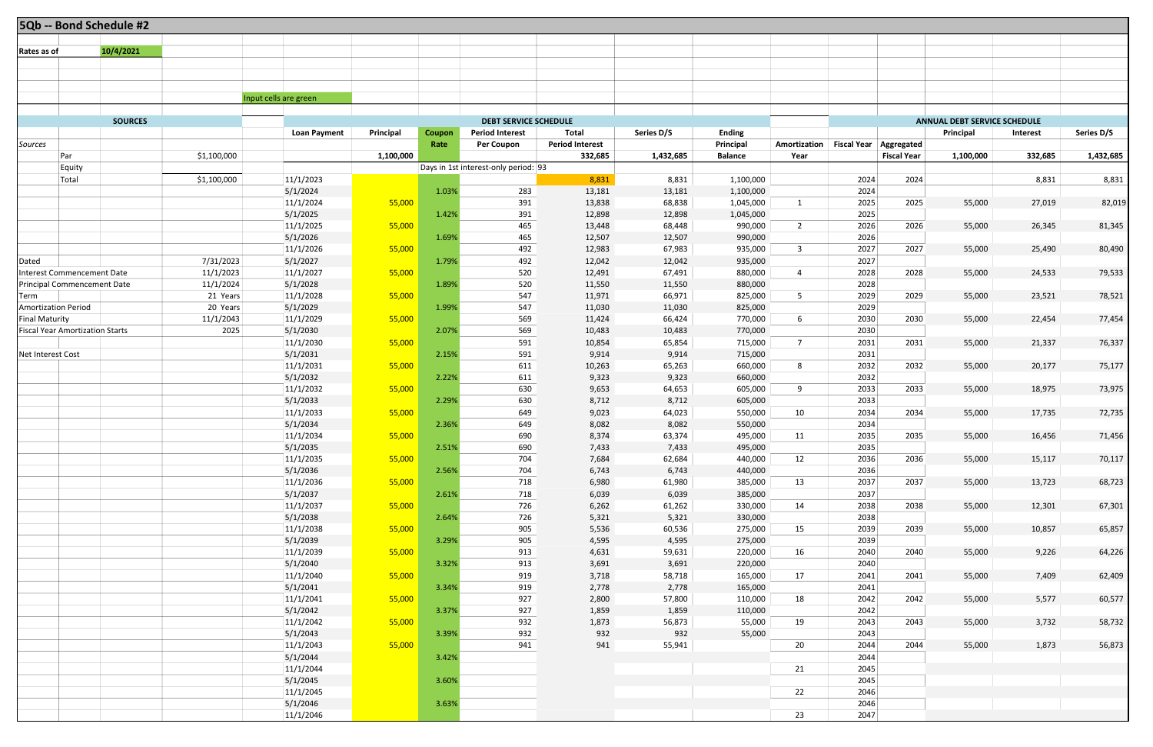|                            | 5Qb -- Bond Schedule #2                |             |                       |           |        |                                      |                        |                  |                    |                                     |              |                    |                                     |          |            |
|----------------------------|----------------------------------------|-------------|-----------------------|-----------|--------|--------------------------------------|------------------------|------------------|--------------------|-------------------------------------|--------------|--------------------|-------------------------------------|----------|------------|
|                            |                                        |             |                       |           |        |                                      |                        |                  |                    |                                     |              |                    |                                     |          |            |
| Rates as of                | 10/4/2021                              |             |                       |           |        |                                      |                        |                  |                    |                                     |              |                    |                                     |          |            |
|                            |                                        |             |                       |           |        |                                      |                        |                  |                    |                                     |              |                    |                                     |          |            |
|                            |                                        |             |                       |           |        |                                      |                        |                  |                    |                                     |              |                    |                                     |          |            |
|                            |                                        |             | Input cells are green |           |        |                                      |                        |                  |                    |                                     |              |                    |                                     |          |            |
|                            |                                        |             |                       |           |        |                                      |                        |                  |                    |                                     |              |                    |                                     |          |            |
|                            | <b>SOURCES</b>                         |             |                       |           |        | <b>DEBT SERVICE SCHEDULE</b>         |                        |                  |                    |                                     |              |                    | <b>ANNUAL DEBT SERVICE SCHEDULE</b> |          |            |
|                            |                                        |             | <b>Loan Payment</b>   | Principal | Coupon | <b>Period Interest</b>               | <b>Total</b>           | Series D/S       | <b>Ending</b>      |                                     |              |                    | Principal                           | Interest | Series D/S |
| Sources                    |                                        |             |                       |           | Rate   | <b>Per Coupon</b>                    | <b>Period Interest</b> |                  | Principal          | Amortization Fiscal Year Aggregated |              |                    |                                     |          |            |
|                            | Par                                    | \$1,100,000 |                       | 1,100,000 |        |                                      | 332,685                | 1,432,685        | <b>Balance</b>     | Year                                |              | <b>Fiscal Year</b> | 1,100,000                           | 332,685  | 1,432,685  |
|                            | Equity                                 |             |                       |           |        | Days in 1st interest-only period: 93 |                        |                  |                    |                                     |              |                    |                                     |          |            |
|                            | Total                                  | \$1,100,000 | 11/1/2023             |           |        |                                      | 8,831                  | 8,831            | 1,100,000          |                                     | 2024         | 2024               |                                     | 8,831    | 8,831      |
|                            |                                        |             | 5/1/2024              |           | 1.03%  | 283                                  | 13,181                 | 13,181           | 1,100,000          |                                     | 2024         |                    |                                     |          |            |
|                            |                                        |             | 11/1/2024             | 55,000    |        | 391                                  | 13,838                 | 68,838           | 1,045,000          | 1                                   | 2025         | 2025               | 55,000                              | 27,019   | 82,019     |
|                            |                                        |             | 5/1/2025              |           | 1.42%  | 391                                  | 12,898                 | 12,898           | 1,045,000          |                                     | 2025         |                    |                                     |          |            |
|                            |                                        |             | 11/1/2025             | 55,000    |        | 465                                  | 13,448                 | 68,448           | 990,000            | 2                                   | 2026         | 2026               | 55,000                              | 26,345   | 81,345     |
|                            |                                        |             | 5/1/2026              |           | 1.69%  | 465                                  | 12,507                 | 12,507           | 990,000            |                                     | 2026         |                    |                                     |          |            |
|                            |                                        | 7/31/2023   | 11/1/2026<br>5/1/2027 | 55,000    | 1.79%  | 492<br>492                           | 12,983<br>12,042       | 67,983<br>12,042 | 935,000<br>935,000 | $\overline{3}$                      | 2027<br>2027 | 2027               | 55,000                              | 25,490   | 80,490     |
| Dated                      | Interest Commencement Date             | 11/1/2023   | 11/1/2027             | 55,000    |        | 520                                  | 12,491                 | 67,491           | 880,000            | $\overline{4}$                      | 2028         | 2028               | 55,000                              | 24,533   | 79,533     |
|                            | <b>Principal Commencement Date</b>     | 11/1/2024   | 5/1/2028              |           | 1.89%  | 520                                  | 11,550                 | 11,550           | 880,000            |                                     | 2028         |                    |                                     |          |            |
| Term                       |                                        | 21 Years    | 11/1/2028             | 55,000    |        | 547                                  | 11,971                 | 66,971           | 825,000            | $5\overline{)}$                     | 2029         | 2029               | 55,000                              | 23,521   | 78,521     |
| <b>Amortization Period</b> |                                        | 20 Years    | 5/1/2029              |           | 1.99%  | 547                                  | 11,030                 | 11,030           | 825,000            |                                     | 2029         |                    |                                     |          |            |
| <b>Final Maturity</b>      |                                        | 11/1/2043   | 11/1/2029             | 55,000    |        | 569                                  | 11,424                 | 66,424           | 770,000            | 6                                   | 2030         | 2030               | 55,000                              | 22,454   | 77,454     |
|                            | <b>Fiscal Year Amortization Starts</b> | 2025        | 5/1/2030              |           | 2.07%  | 569                                  | 10,483                 | 10,483           | 770,000            |                                     | 2030         |                    |                                     |          |            |
|                            |                                        |             | 11/1/2030             | 55,000    |        | 591                                  | 10,854                 | 65,854           | 715,000            | $7\overline{ }$                     | 2031         | 2031               | 55,000                              | 21,337   | 76,337     |
| Net Interest Cost          |                                        |             | 5/1/2031              |           | 2.15%  | 591                                  | 9,914                  | 9,914            | 715,000            |                                     | 2031         |                    |                                     |          |            |
|                            |                                        |             | 11/1/2031             | 55,000    |        | 611                                  | 10,263                 | 65,263           | 660,000            | 8                                   | 2032         | 2032               | 55,000                              | 20,177   | 75,177     |
|                            |                                        |             | 5/1/2032              |           | 2.22%  | 611                                  | 9,323                  | 9,323            | 660,000            |                                     | 2032         |                    |                                     |          |            |
|                            |                                        |             | 11/1/2032             | 55,000    |        | 630                                  | 9,653                  | 64,653           | 605,000            | 9                                   | 2033         | 2033               | 55,000                              | 18,975   | 73,975     |
|                            |                                        |             | 5/1/2033              |           | 2.29%  | 630                                  | 8,712                  | 8,712            | 605,000            |                                     | 2033         |                    |                                     |          |            |
|                            |                                        |             | 11/1/2033             | 55,000    |        | 649                                  | 9,023                  | 64,023           | 550,000            | 10                                  | 2034         | 2034               | 55,000                              | 17,735   | 72,735     |
|                            |                                        |             | 5/1/2034              |           | 2.36%  | 649                                  | 8,082                  | 8,082            | 550,000            |                                     | 2034         |                    |                                     |          |            |
|                            |                                        |             | 11/1/2034             | 55,000    | 2.51%  | 690                                  | 8,374<br>7,433         | 63,374<br>7,433  | 495,000            | 11                                  | 2035         | 2035               | 55,000                              | 16,456   | 71,456     |
|                            |                                        |             | 5/1/2035<br>11/1/2035 | 55,000    |        | 690<br>704                           | 7,684                  | 62,684           | 495,000<br>440,000 | 12                                  | 2035<br>2036 | 2036               | 55,000                              | 15,117   | 70,117     |
|                            |                                        |             | 5/1/2036              |           | 2.56%  | 704                                  | 6,743                  | 6,743            | 440,000            |                                     | 2036         |                    |                                     |          |            |
|                            |                                        |             | 11/1/2036             | 55,000    |        | 718                                  | 6,980                  | 61,980           | 385,000            | 13                                  | 2037         | 2037               | 55,000                              | 13,723   | 68,723     |
|                            |                                        |             | 5/1/2037              |           | 2.61%  | 718                                  | 6,039                  | 6,039            | 385,000            |                                     | 2037         |                    |                                     |          |            |
|                            |                                        |             | 11/1/2037             | 55,000    |        | 726                                  | 6,262                  | 61,262           | 330,000            | 14                                  | 2038         | 2038               | 55,000                              | 12,301   | 67,301     |
|                            |                                        |             | 5/1/2038              |           | 2.64%  | 726                                  | 5,321                  | 5,321            | 330,000            |                                     | 2038         |                    |                                     |          |            |
|                            |                                        |             | 11/1/2038             | 55,000    |        | 905                                  | 5,536                  | 60,536           | 275,000            | 15                                  | 2039         | 2039               | 55,000                              | 10,857   | 65,857     |
|                            |                                        |             | 5/1/2039              |           | 3.29%  | 905                                  | 4,595                  | 4,595            | 275,000            |                                     | 2039         |                    |                                     |          |            |
|                            |                                        |             | 11/1/2039             | 55,000    |        | 913                                  | 4,631                  | 59,631           | 220,000            | 16                                  | 2040         | 2040               | 55,000                              | 9,226    | 64,226     |
|                            |                                        |             | 5/1/2040              |           | 3.32%  | 913                                  | 3,691                  | 3,691            | 220,000            |                                     | 2040         |                    |                                     |          |            |
|                            |                                        |             | 11/1/2040             | 55,000    |        | 919                                  | 3,718                  | 58,718           | 165,000            | 17                                  | 2041         | 2041               | 55,000                              | 7,409    | 62,409     |
|                            |                                        |             | 5/1/2041              |           | 3.34%  | 919                                  | 2,778                  | 2,778            | 165,000            |                                     | 2041         |                    |                                     |          |            |
|                            |                                        |             | 11/1/2041             | 55,000    |        | 927                                  | 2,800                  | 57,800           | 110,000            | 18                                  | 2042         | 2042               | 55,000                              | 5,577    | 60,577     |
|                            |                                        |             | 5/1/2042              |           | 3.37%  | 927                                  | 1,859                  | 1,859            | 110,000            |                                     | 2042         |                    |                                     |          |            |
|                            |                                        |             | 11/1/2042             | 55,000    |        | 932                                  | 1,873                  | 56,873           | 55,000             | 19                                  | 2043         | 2043               | 55,000                              | 3,732    | 58,732     |
|                            |                                        |             | 5/1/2043<br>11/1/2043 | 55,000    | 3.39%  | 932<br>941                           | 932<br>941             | 932<br>55,941    | 55,000             | 20                                  | 2043<br>2044 | 2044               | 55,000                              | 1,873    | 56,873     |
|                            |                                        |             | 5/1/2044              |           | 3.42%  |                                      |                        |                  |                    |                                     | 2044         |                    |                                     |          |            |
|                            |                                        |             | 11/1/2044             |           |        |                                      |                        |                  |                    | 21                                  | 2045         |                    |                                     |          |            |
|                            |                                        |             | 5/1/2045              |           | 3.60%  |                                      |                        |                  |                    |                                     | 2045         |                    |                                     |          |            |
|                            |                                        |             | 11/1/2045             |           |        |                                      |                        |                  |                    | 22                                  | 2046         |                    |                                     |          |            |
|                            |                                        |             | 5/1/2046              |           | 3.63%  |                                      |                        |                  |                    |                                     | 2046         |                    |                                     |          |            |
|                            |                                        |             | 11/1/2046             |           |        |                                      |                        |                  |                    | 23                                  | 2047         |                    |                                     |          |            |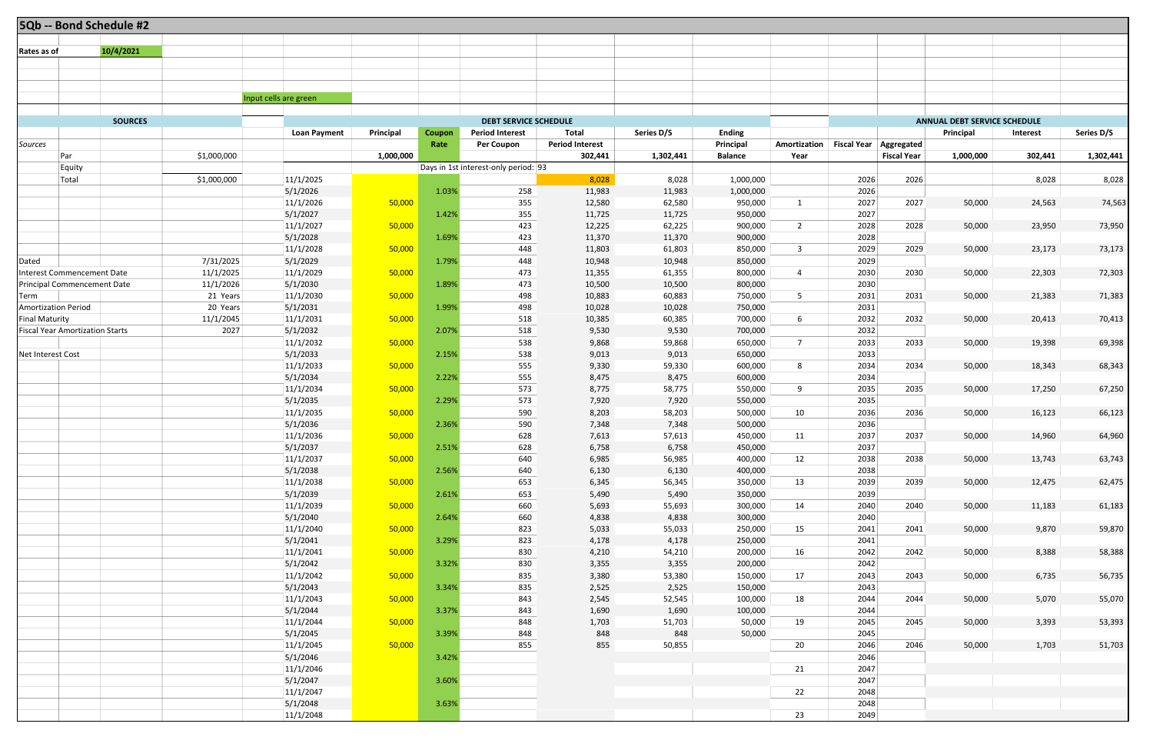|                            | 5Qb -- Bond Schedule #2                |             |                       |           |        |                                      |                        |                 |                    |                                     |              |                    |                                     |          |            |
|----------------------------|----------------------------------------|-------------|-----------------------|-----------|--------|--------------------------------------|------------------------|-----------------|--------------------|-------------------------------------|--------------|--------------------|-------------------------------------|----------|------------|
|                            |                                        |             |                       |           |        |                                      |                        |                 |                    |                                     |              |                    |                                     |          |            |
| Rates as of                | 10/4/2021                              |             |                       |           |        |                                      |                        |                 |                    |                                     |              |                    |                                     |          |            |
|                            |                                        |             |                       |           |        |                                      |                        |                 |                    |                                     |              |                    |                                     |          |            |
|                            |                                        |             |                       |           |        |                                      |                        |                 |                    |                                     |              |                    |                                     |          |            |
|                            |                                        |             |                       |           |        |                                      |                        |                 |                    |                                     |              |                    |                                     |          |            |
|                            |                                        |             | Input cells are green |           |        |                                      |                        |                 |                    |                                     |              |                    |                                     |          |            |
|                            |                                        |             |                       |           |        |                                      |                        |                 |                    |                                     |              |                    |                                     |          |            |
|                            | <b>SOURCES</b>                         |             |                       |           |        | <b>DEBT SERVICE SCHEDULE</b>         |                        |                 |                    |                                     |              |                    | <b>ANNUAL DEBT SERVICE SCHEDULE</b> |          |            |
|                            |                                        |             | <b>Loan Payment</b>   | Principal | Coupon | <b>Period Interest</b>               | <b>Total</b>           | Series D/S      | <b>Ending</b>      |                                     |              |                    | Principal                           | Interest | Series D/S |
| Sources                    |                                        |             |                       |           | Rate   | <b>Per Coupon</b>                    | <b>Period Interest</b> |                 | Principal          | Amortization Fiscal Year Aggregated |              |                    |                                     |          |            |
|                            | Par                                    | \$1,000,000 |                       | 1,000,000 |        | Days in 1st interest-only period: 93 | 302,441                | 1,302,441       | <b>Balance</b>     | Year                                |              | <b>Fiscal Year</b> | 1,000,000                           | 302,441  | 1,302,441  |
|                            | Equity<br>Total                        | \$1,000,000 | 11/1/2025             |           |        |                                      | 8,028                  | 8,028           | 1,000,000          |                                     | 2026         | 2026               |                                     | 8,028    | 8,028      |
|                            |                                        |             | 5/1/2026              |           | 1.03%  | 258                                  | 11,983                 | 11,983          | 1,000,000          |                                     | 2026         |                    |                                     |          |            |
|                            |                                        |             | 11/1/2026             | 50,000    |        | 355                                  | 12,580                 | 62,580          | 950,000            | 1                                   | 2027         | 2027               | 50,000                              | 24,563   | 74,563     |
|                            |                                        |             | 5/1/2027              |           | 1.42%  | 355                                  | 11,725                 | 11,725          | 950,000            |                                     | 2027         |                    |                                     |          |            |
|                            |                                        |             | 11/1/2027             | 50,000    |        | 423                                  | 12,225                 | 62,225          | 900,000            | 2                                   | 2028         | 2028               | 50,000                              | 23,950   | 73,950     |
|                            |                                        |             | 5/1/2028              |           | 1.69%  | 423                                  | 11,370                 | 11,370          | 900,000            |                                     | 2028         |                    |                                     |          |            |
|                            |                                        |             | 11/1/2028             | 50,000    |        | 448                                  | 11,803                 | 61,803          | 850,000            | $\overline{3}$                      | 2029         | 2029               | 50,000                              | 23,173   | 73,173     |
| Dated                      |                                        | 7/31/2025   | 5/1/2029              |           | 1.79%  | 448                                  | 10,948                 | 10,948          | 850,000            |                                     | 2029         |                    |                                     |          |            |
|                            | Interest Commencement Date             | 11/1/2025   | 11/1/2029             | 50,000    |        | 473                                  | 11,355                 | 61,355          | 800,000            | $\overline{4}$                      | 2030         | 2030               | 50,000                              | 22,303   | 72,303     |
|                            | <b>Principal Commencement Date</b>     | 11/1/2026   | 5/1/2030              |           | 1.89%  | 473                                  | 10,500                 | 10,500          | 800,000            |                                     | 2030         |                    |                                     |          |            |
| Term                       |                                        | 21 Years    | 11/1/2030             | 50,000    |        | 498                                  | 10,883                 | 60,883          | 750,000            | 5                                   | 2031         | 2031               | 50,000                              | 21,383   | 71,383     |
| <b>Amortization Period</b> |                                        | 20 Years    | 5/1/2031              |           | 1.99%  | 498                                  | 10,028                 | 10,028          | 750,000            |                                     | 2031         |                    |                                     |          |            |
| <b>Final Maturity</b>      |                                        | 11/1/2045   | 11/1/2031             | 50,000    |        | 518                                  | 10,385                 | 60,385          | 700,000            | 6                                   | 2032         | 2032               | 50,000                              | 20,413   | 70,413     |
|                            | <b>Fiscal Year Amortization Starts</b> | 2027        | 5/1/2032              |           | 2.07%  | 518                                  | 9,530                  | 9,530           | 700,000            |                                     | 2032         |                    |                                     |          |            |
|                            |                                        |             | 11/1/2032             | 50,000    |        | 538                                  | 9,868                  | 59,868          | 650,000            | $7\overline{ }$                     | 2033         | 2033               | 50,000                              | 19,398   | 69,398     |
| Net Interest Cost          |                                        |             | 5/1/2033              |           | 2.15%  | 538                                  | 9,013                  | 9,013           | 650,000            |                                     | 2033         |                    |                                     |          |            |
|                            |                                        |             | 11/1/2033             | 50,000    |        | 555                                  | 9,330                  | 59,330          | 600,000            | 8                                   | 2034         | 2034               | 50,000                              | 18,343   | 68,343     |
|                            |                                        |             | 5/1/2034              |           | 2.22%  | 555                                  | 8,475                  | 8,475           | 600,000            |                                     | 2034         |                    |                                     |          |            |
|                            |                                        |             | 11/1/2034             | 50,000    |        | 573                                  | 8,775                  | 58,775          | 550,000            | 9                                   | 2035         | 2035               | 50,000                              | 17,250   | 67,250     |
|                            |                                        |             | 5/1/2035              |           | 2.29%  | 573                                  | 7,920                  | 7,920           | 550,000            |                                     | 2035         |                    |                                     |          |            |
|                            |                                        |             | 11/1/2035             | 50,000    |        | 590                                  | 8,203                  | 58,203          | 500,000            | 10                                  | 2036         | 2036               | 50,000                              | 16,123   | 66,123     |
|                            |                                        |             | 5/1/2036              |           | 2.36%  | 590                                  | 7,348                  | 7,348           | 500,000            |                                     | 2036         |                    |                                     |          |            |
|                            |                                        |             | 11/1/2036             | 50,000    |        | 628                                  | 7,613                  | 57,613          | 450,000            | 11                                  | 2037         | 2037               | 50,000                              | 14,960   | 64,960     |
|                            |                                        |             | 5/1/2037              |           | 2.51%  | 628                                  | 6,758                  | 6,758           | 450,000            |                                     | 2037         |                    |                                     |          |            |
|                            |                                        |             | 11/1/2037             | 50,000    |        | 640                                  | 6,985                  | 56,985          | 400,000            | 12                                  | 2038         | 2038               | 50,000                              | 13,743   | 63,743     |
|                            |                                        |             | 5/1/2038              |           | 2.56%  | 640                                  | 6,130                  | 6,130           | 400,000            |                                     | 2038         |                    |                                     |          |            |
|                            |                                        |             | 11/1/2038             | 50,000    |        | 653                                  | 6,345                  | 56,345          | 350,000            | 13                                  | 2039         | 2039               | 50,000                              | 12,475   | 62,475     |
|                            |                                        |             | 5/1/2039              |           | 2.61%  | 653                                  | 5,490                  | 5,490           | 350,000            |                                     | 2039         |                    |                                     |          |            |
|                            |                                        |             | 11/1/2039             | 50,000    |        | 660                                  | 5,693                  | 55,693          | 300,000            | 14                                  | 2040         | 2040               | 50,000                              | 11,183   | 61,183     |
|                            |                                        |             | 5/1/2040              |           | 2.64%  | 660                                  | 4,838                  | 4,838           | 300,000            |                                     | 2040         |                    |                                     |          |            |
|                            |                                        |             | 11/1/2040             | 50,000    |        | 823                                  | 5,033                  | 55,033          | 250,000            | 15                                  | 2041         | 2041               | 50,000                              | 9,870    | 59,870     |
|                            |                                        |             | 5/1/2041              |           | 3.29%  | 823                                  | 4,178                  | 4,178           | 250,000            |                                     | 2041         |                    |                                     |          |            |
|                            |                                        |             | 11/1/2041<br>5/1/2042 | 50,000    |        | 830<br>830                           | 4,210<br>3,355         | 54,210          | 200,000            | 16                                  | 2042<br>2042 | 2042               | 50,000                              | 8,388    | 58,388     |
|                            |                                        |             | 11/1/2042             | 50,000    | 3.32%  | 835                                  | 3,380                  | 3,355<br>53,380 | 200,000<br>150,000 | 17                                  | 2043         | 2043               | 50,000                              | 6,735    | 56,735     |
|                            |                                        |             | 5/1/2043              |           | 3.34%  | 835                                  | 2,525                  | 2,525           | 150,000            |                                     | 2043         |                    |                                     |          |            |
|                            |                                        |             | 11/1/2043             | 50,000    |        | 843                                  | 2,545                  | 52,545          | 100,000            | 18                                  | 2044         | 2044               | 50,000                              | 5,070    | 55,070     |
|                            |                                        |             | 5/1/2044              |           | 3.37%  | 843                                  | 1,690                  | 1,690           | 100,000            |                                     | 2044         |                    |                                     |          |            |
|                            |                                        |             | 11/1/2044             | 50,000    |        | 848                                  | 1,703                  | 51,703          | 50,000             | 19                                  | 2045         | 2045               | 50,000                              | 3,393    | 53,393     |
|                            |                                        |             | 5/1/2045              |           | 3.39%  | 848                                  | 848                    | 848             | 50,000             |                                     | 2045         |                    |                                     |          |            |
|                            |                                        |             | 11/1/2045             | 50,000    |        | 855                                  | 855                    | 50,855          |                    | 20                                  | 2046         | 2046               | 50,000                              | 1,703    | 51,703     |
|                            |                                        |             | 5/1/2046              |           | 3.42%  |                                      |                        |                 |                    |                                     | 2046         |                    |                                     |          |            |
|                            |                                        |             | 11/1/2046             |           |        |                                      |                        |                 |                    | 21                                  | 2047         |                    |                                     |          |            |
|                            |                                        |             | 5/1/2047              |           | 3.60%  |                                      |                        |                 |                    |                                     | 2047         |                    |                                     |          |            |
|                            |                                        |             | 11/1/2047             |           |        |                                      |                        |                 |                    | 22                                  | 2048         |                    |                                     |          |            |
|                            |                                        |             | 5/1/2048              |           | 3.63%  |                                      |                        |                 |                    |                                     | 2048         |                    |                                     |          |            |
|                            |                                        |             | 11/1/2048             |           |        |                                      |                        |                 |                    | 23                                  | 2049         |                    |                                     |          |            |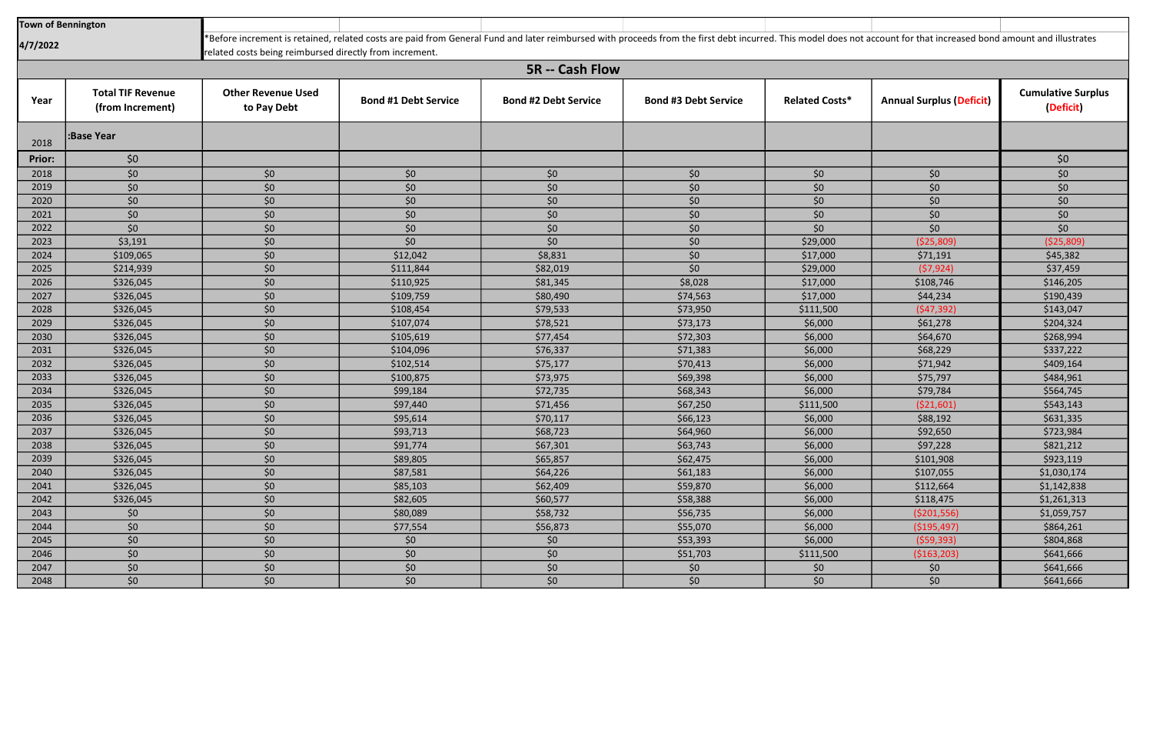| <b>Town of Bennington</b> |                                              |                                                         |                                                                                                                                                                                                                    |                             |                             |                       |                                 |                                        |
|---------------------------|----------------------------------------------|---------------------------------------------------------|--------------------------------------------------------------------------------------------------------------------------------------------------------------------------------------------------------------------|-----------------------------|-----------------------------|-----------------------|---------------------------------|----------------------------------------|
| 4/7/2022                  |                                              | related costs being reimbursed directly from increment. | Before increment is retained, related costs are paid from General Fund and later reimbursed with proceeds from the first debt incurred. This model does not account for that increased bond amount and illustrates |                             |                             |                       |                                 |                                        |
|                           |                                              |                                                         |                                                                                                                                                                                                                    | <b>5R</b> -- Cash Flow      |                             |                       |                                 |                                        |
| Year                      | <b>Total TIF Revenue</b><br>(from Increment) | <b>Other Revenue Used</b><br>to Pay Debt                | <b>Bond #1 Debt Service</b>                                                                                                                                                                                        | <b>Bond #2 Debt Service</b> | <b>Bond #3 Debt Service</b> | <b>Related Costs*</b> | <b>Annual Surplus (Deficit)</b> | <b>Cumulative Surplus</b><br>(Deficit) |
| 2018                      | :Base Year                                   |                                                         |                                                                                                                                                                                                                    |                             |                             |                       |                                 |                                        |
| <b>Prior:</b>             | \$0                                          |                                                         |                                                                                                                                                                                                                    |                             |                             |                       |                                 | \$0                                    |
| 2018                      | \$0                                          | \$0\$                                                   | \$0                                                                                                                                                                                                                | \$0\$                       | \$0                         | \$0\$                 | \$0\$                           | \$0                                    |
| 2019                      | \$0                                          | \$0                                                     | \$0                                                                                                                                                                                                                | \$0                         | \$0                         | \$0                   | \$0                             | \$0                                    |
| 2020                      | \$0                                          | \$0                                                     | \$0                                                                                                                                                                                                                | \$0                         | \$0                         | \$0\$                 | \$0\$                           | \$0                                    |
| 2021                      | \$0                                          | \$0\$                                                   | \$0                                                                                                                                                                                                                | \$0                         | \$0                         | \$0                   | \$0                             | \$0                                    |
| 2022                      | \$0                                          | \$0                                                     | \$0                                                                                                                                                                                                                | \$0                         | \$0                         | \$0                   | \$0                             | \$0                                    |
| 2023                      | \$3,191                                      | \$0\$                                                   | \$0\$                                                                                                                                                                                                              | \$0                         | \$0                         | \$29,000              | ( \$25, 809)                    | ( \$25, 809)                           |
| 2024                      | \$109,065                                    | \$0                                                     | \$12,042                                                                                                                                                                                                           | \$8,831                     | \$0                         | \$17,000              | \$71,191                        | \$45,382                               |
| 2025                      | \$214,939                                    | \$0                                                     | \$111,844                                                                                                                                                                                                          | \$82,019                    | \$0                         | \$29,000              | (57, 924)                       | \$37,459                               |
| 2026                      | \$326,045                                    | \$0                                                     | \$110,925                                                                                                                                                                                                          | \$81,345                    | \$8,028                     | \$17,000              | \$108,746                       | \$146,205                              |
| 2027                      | \$326,045                                    | \$0                                                     | \$109,759                                                                                                                                                                                                          | \$80,490                    | \$74,563                    | \$17,000              | \$44,234                        | \$190,439                              |
| 2028                      | \$326,045                                    | \$0\$                                                   | \$108,454                                                                                                                                                                                                          | \$79,533                    | \$73,950                    | \$111,500             | (547, 392)                      | \$143,047                              |
| 2029                      | \$326,045                                    | \$0                                                     | \$107,074                                                                                                                                                                                                          | \$78,521                    | \$73,173                    | \$6,000               | \$61,278                        | \$204,324                              |
| 2030                      | \$326,045                                    | \$0                                                     | \$105,619                                                                                                                                                                                                          | \$77,454                    | \$72,303                    | \$6,000               | \$64,670                        | \$268,994                              |
| 2031                      | \$326,045                                    | \$0                                                     | \$104,096                                                                                                                                                                                                          | \$76,337                    | \$71,383                    | \$6,000               | \$68,229                        | \$337,222                              |
| 2032                      | \$326,045                                    | \$0                                                     | \$102,514                                                                                                                                                                                                          | \$75,177                    | \$70,413                    | \$6,000               | \$71,942                        | \$409,164                              |
| 2033                      | \$326,045                                    | \$0\$                                                   | \$100,875                                                                                                                                                                                                          | \$73,975                    | \$69,398                    | \$6,000               | \$75,797                        | \$484,961                              |
| 2034                      | \$326,045                                    | \$0                                                     | \$99,184                                                                                                                                                                                                           | \$72,735                    | \$68,343                    | \$6,000               | \$79,784                        | \$564,745                              |
| 2035                      | \$326,045                                    | \$0                                                     | \$97,440                                                                                                                                                                                                           | \$71,456                    | \$67,250                    | \$111,500             | ( \$21,601)                     | \$543,143                              |
| 2036                      | \$326,045                                    | \$0                                                     | \$95,614                                                                                                                                                                                                           | \$70,117                    | \$66,123                    | \$6,000               | \$88,192                        | \$631,335                              |
| 2037                      | \$326,045                                    | \$0                                                     | \$93,713                                                                                                                                                                                                           | \$68,723                    | \$64,960                    | \$6,000               | \$92,650                        | \$723,984                              |
| 2038                      | \$326,045                                    | \$0\$                                                   | \$91,774                                                                                                                                                                                                           | \$67,301                    | \$63,743                    | \$6,000               | \$97,228                        | \$821,212                              |
| 2039                      | \$326,045                                    | \$0\$                                                   | \$89,805                                                                                                                                                                                                           | \$65,857                    | \$62,475                    | \$6,000               | \$101,908                       | \$923,119                              |
| 2040                      | \$326,045                                    | \$0                                                     | \$87,581                                                                                                                                                                                                           | \$64,226                    | \$61,183                    | \$6,000               | \$107,055                       | \$1,030,174                            |
| 2041                      | \$326,045                                    | \$0                                                     | \$85,103                                                                                                                                                                                                           | \$62,409                    | \$59,870                    | \$6,000               | \$112,664                       | \$1,142,838                            |
| 2042                      | \$326,045                                    | \$0                                                     | \$82,605                                                                                                                                                                                                           | \$60,577                    | \$58,388                    | \$6,000               | \$118,475                       | \$1,261,313                            |
| 2043                      | \$0\$                                        | \$0\$                                                   | \$80,089                                                                                                                                                                                                           | \$58,732                    | \$56,735                    | \$6,000               | ( \$201, 556)                   | \$1,059,757                            |
| 2044                      | \$0                                          | \$0\$                                                   | \$77,554                                                                                                                                                                                                           | \$56,873                    | \$55,070                    | \$6,000               | ( \$195,497)                    | \$864,261                              |
| 2045                      | \$0                                          | \$0\$                                                   | \$0\$                                                                                                                                                                                                              | \$0\$                       | \$53,393                    | \$6,000               | (559, 393)                      | \$804,868                              |
| 2046                      | \$0                                          | \$0\$                                                   | \$0                                                                                                                                                                                                                | \$0\$                       | \$51,703                    | \$111,500             | ( \$163, 203)                   | \$641,666                              |
| 2047                      | \$0\$                                        | \$0\$                                                   | \$0                                                                                                                                                                                                                | \$0                         | \$0                         | \$0\$                 | \$0\$                           | \$641,666                              |
| 2048                      | \$0\$                                        | \$0\$                                                   | \$0                                                                                                                                                                                                                | \$0\$                       | \$0                         | \$0\$                 | \$0\$                           | \$641,666                              |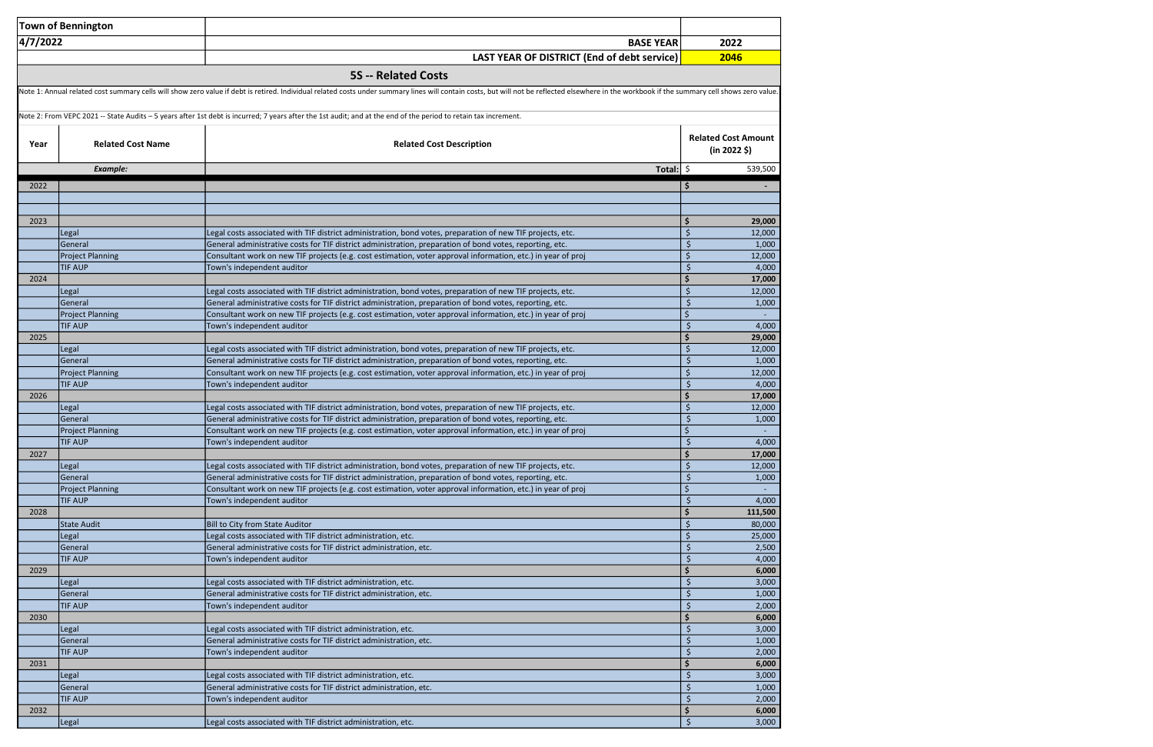| <b>Town of Bennington</b> |                                    |                                                                                                                                                                                                                                |                            |                  |
|---------------------------|------------------------------------|--------------------------------------------------------------------------------------------------------------------------------------------------------------------------------------------------------------------------------|----------------------------|------------------|
| 4/7/2022                  |                                    | <b>BASE YEAR</b>                                                                                                                                                                                                               | 2022                       |                  |
|                           |                                    | LAST YEAR OF DISTRICT (End of debt service)                                                                                                                                                                                    | 2046                       |                  |
|                           |                                    | <b>5S</b> -- Related Costs                                                                                                                                                                                                     |                            |                  |
|                           |                                    | Note 1: Annual related cost summary cells will show zero value if debt is retired. Individual related costs under summary lines will contain costs, but will not be reflected elsewhere in the workbook if the summary cell sh |                            |                  |
|                           |                                    |                                                                                                                                                                                                                                |                            |                  |
|                           |                                    | Note 2: From VEPC 2021 -- State Audits - 5 years after 1st debt is incurred; 7 years after the 1st audit; and at the end of the period to retain tax increment.                                                                |                            |                  |
|                           |                                    |                                                                                                                                                                                                                                | <b>Related Cost Amount</b> |                  |
| Year                      | <b>Related Cost Name</b>           | <b>Related Cost Description</b>                                                                                                                                                                                                | $(in 2022 $ \$)            |                  |
|                           | Example:                           | Total: $\frac{1}{2}$                                                                                                                                                                                                           |                            | 539,500          |
|                           |                                    |                                                                                                                                                                                                                                |                            |                  |
| 2022                      |                                    |                                                                                                                                                                                                                                | \$                         | $\sim$           |
|                           |                                    |                                                                                                                                                                                                                                |                            |                  |
| 2023                      |                                    |                                                                                                                                                                                                                                |                            | 29,000           |
|                           | Legal                              | Legal costs associated with TIF district administration, bond votes, preparation of new TIF projects, etc.                                                                                                                     | Ś                          | 12,000           |
|                           | General                            | General administrative costs for TIF district administration, preparation of bond votes, reporting, etc.                                                                                                                       |                            | 1,000            |
|                           | Project Planning                   | Consultant work on new TIF projects (e.g. cost estimation, voter approval information, etc.) in year of proj                                                                                                                   | Ś                          | 12,000           |
|                           | <b>TIF AUP</b>                     | Town's independent auditor                                                                                                                                                                                                     | Ś                          | 4,000            |
| 2024                      |                                    |                                                                                                                                                                                                                                | Ś                          | 17,000<br>12,000 |
|                           | Legal<br>General                   | Legal costs associated with TIF district administration, bond votes, preparation of new TIF projects, etc.<br>General administrative costs for TIF district administration, preparation of bond votes, reporting, etc.         | Ś                          | 1,000            |
|                           | <b>Project Planning</b>            | Consultant work on new TIF projects (e.g. cost estimation, voter approval information, etc.) in year of proj                                                                                                                   |                            |                  |
|                           | <b>TIF AUP</b>                     | Town's independent auditor                                                                                                                                                                                                     | Ś                          | 4,000            |
| 2025                      |                                    |                                                                                                                                                                                                                                |                            | 29,000           |
|                           | Legal                              | Legal costs associated with TIF district administration, bond votes, preparation of new TIF projects, etc.                                                                                                                     | Ś                          | 12,000           |
|                           | General                            | General administrative costs for TIF district administration, preparation of bond votes, reporting, etc.                                                                                                                       | Ś                          | 1,000            |
|                           | <b>Project Planning</b>            | Consultant work on new TIF projects (e.g. cost estimation, voter approval information, etc.) in year of proj                                                                                                                   | Ś                          | 12,000           |
|                           | <b>TIF AUP</b>                     | Town's independent auditor                                                                                                                                                                                                     | Ś                          | 4,000            |
| 2026                      |                                    |                                                                                                                                                                                                                                |                            | 17,000           |
|                           | Legal                              | Legal costs associated with TIF district administration, bond votes, preparation of new TIF projects, etc.                                                                                                                     | Ś                          | 12,000           |
|                           | General<br><b>Project Planning</b> | General administrative costs for TIF district administration, preparation of bond votes, reporting, etc.<br>Consultant work on new TIF projects (e.g. cost estimation, voter approval information, etc.) in year of proj       | Ś                          | 1,000            |
|                           | <b>TIF AUP</b>                     | Town's independent auditor                                                                                                                                                                                                     | \$                         | 4,000            |
| 2027                      |                                    |                                                                                                                                                                                                                                |                            | 17,000           |
|                           | Legal                              | Legal costs associated with TIF district administration, bond votes, preparation of new TIF projects, etc.                                                                                                                     | Ś                          | 12,000           |
|                           | General                            | General administrative costs for TIF district administration, preparation of bond votes, reporting, etc.                                                                                                                       | Ś                          | 1,000            |
|                           | <b>Project Planning</b>            | Consultant work on new TIF projects (e.g. cost estimation, voter approval information, etc.) in year of proj                                                                                                                   |                            |                  |
|                           | <b>TIF AUP</b>                     | Town's independent auditor                                                                                                                                                                                                     | Ś                          | 4,000            |
| 2028                      |                                    |                                                                                                                                                                                                                                |                            | 111,500          |
|                           | State Audit                        | <b>Bill to City from State Auditor</b>                                                                                                                                                                                         | Ś                          | 80,000           |
|                           | Legal<br>General                   | Legal costs associated with TIF district administration, etc.<br>General administrative costs for TIF district administration, etc.                                                                                            | Ś<br>Ś                     | 25,000<br>2,500  |
|                           | <b>TIF AUP</b>                     | Town's independent auditor                                                                                                                                                                                                     | Ś                          | 4,000            |
| 2029                      |                                    |                                                                                                                                                                                                                                |                            | 6,000            |
|                           | Legal                              | Legal costs associated with TIF district administration, etc.                                                                                                                                                                  | Ś                          | 3,000            |
|                           | General                            | General administrative costs for TIF district administration, etc.                                                                                                                                                             | Ś                          | 1,000            |
|                           | <b>TIF AUP</b>                     | Town's independent auditor                                                                                                                                                                                                     | Ś                          | 2,000            |
| 2030                      |                                    |                                                                                                                                                                                                                                |                            | 6,000            |
|                           | Legal                              | Legal costs associated with TIF district administration, etc.                                                                                                                                                                  | Ś                          | 3,000            |
|                           | General                            | General administrative costs for TIF district administration, etc.                                                                                                                                                             | Ś                          | 1,000            |
|                           | <b>TIF AUP</b>                     | Town's independent auditor                                                                                                                                                                                                     |                            | 2,000            |
| 2031                      | Legal                              | Legal costs associated with TIF district administration, etc.                                                                                                                                                                  | Ś                          | 6,000<br>3,000   |
|                           | General                            | General administrative costs for TIF district administration, etc.                                                                                                                                                             | Ś                          | 1,000            |
|                           | <b>TIF AUP</b>                     | Town's independent auditor                                                                                                                                                                                                     | Ś                          | 2,000            |
| 2032                      |                                    |                                                                                                                                                                                                                                |                            | 6,000            |
|                           | Legal                              | Legal costs associated with TIF district administration, etc.                                                                                                                                                                  | Ś                          | 3,000            |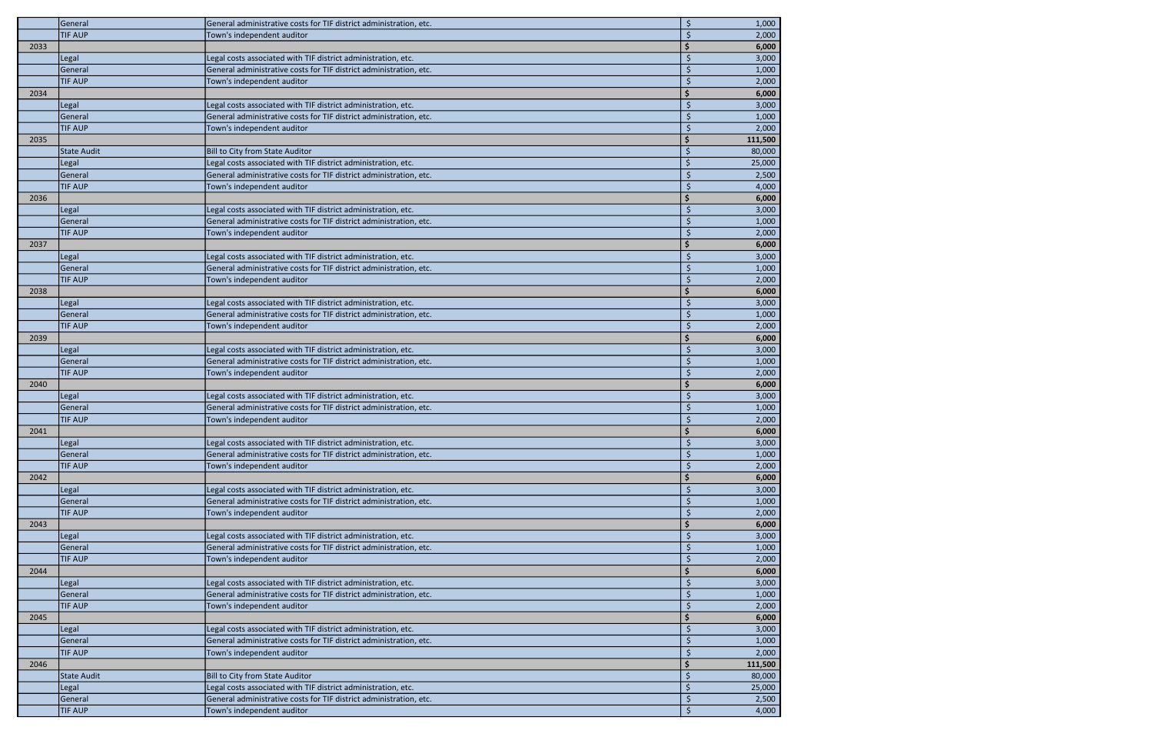|      | General        | General administrative costs for TIF district administration, etc. | \$                 | 1,000   |
|------|----------------|--------------------------------------------------------------------|--------------------|---------|
|      | <b>TIF AUP</b> | Town's independent auditor                                         |                    | 2,000   |
| 2033 |                |                                                                    |                    | 6,000   |
|      | Legal          | Legal costs associated with TIF district administration, etc.      | $\mathsf{\hat{S}}$ | 3,000   |
|      | <b>General</b> | General administrative costs for TIF district administration, etc. | $\zeta$            | 1,000   |
|      | <b>TIF AUP</b> | Town's independent auditor                                         | Ś                  | 2,000   |
| 2034 |                |                                                                    |                    | 6,000   |
|      | Legal          | Legal costs associated with TIF district administration, etc.      | Ś.                 | 3,000   |
|      | General        | General administrative costs for TIF district administration, etc. |                    | 1,000   |
|      | <b>TIF AUP</b> | Town's independent auditor                                         |                    | 2,000   |
| 2035 |                |                                                                    |                    | 111,500 |
|      | State Audit    | Bill to City from State Auditor                                    | $\zeta$            | 80,000  |
|      | Legal          | Legal costs associated with TIF district administration, etc.      |                    | 25,000  |
|      | General        | General administrative costs for TIF district administration, etc. | Ś                  | 2,500   |
|      | <b>TIF AUP</b> | Town's independent auditor                                         | $\zeta$            | 4,000   |
| 2036 |                |                                                                    |                    | 6,000   |
|      | Legal          | Legal costs associated with TIF district administration, etc.      | $\zeta$            | 3,000   |
|      | General        | General administrative costs for TIF district administration, etc. | Ś                  | 1,000   |
|      | <b>TIF AUP</b> | Town's independent auditor                                         |                    | 2,000   |
| 2037 |                |                                                                    |                    | 6,000   |
|      | Legal          | Legal costs associated with TIF district administration, etc.      | $\mathsf{\hat{S}}$ | 3,000   |
|      | <b>General</b> | General administrative costs for TIF district administration, etc. | $\zeta$            | 1,000   |
|      | <b>TIF AUP</b> | Town's independent auditor                                         | Ś.                 | 2,000   |
| 2038 |                |                                                                    |                    | 6,000   |
|      | Legal          | Legal costs associated with TIF district administration, etc.      | Ś.                 | 3,000   |
|      | General        | General administrative costs for TIF district administration, etc. | $\zeta$            | 1,000   |
|      | <b>TIF AUP</b> | Town's independent auditor                                         |                    | 2,000   |
| 2039 |                |                                                                    |                    | 6,000   |
|      | Legal          | Legal costs associated with TIF district administration, etc.      | Ś                  | 3,000   |
|      | General        | General administrative costs for TIF district administration, etc. | Ś                  | 1,000   |
|      | <b>TIF AUP</b> | Town's independent auditor                                         | $\zeta$            | 2,000   |
| 2040 |                |                                                                    |                    | 6,000   |
|      | Legal          | Legal costs associated with TIF district administration, etc.      | Ś                  | 3,000   |
|      | General        | General administrative costs for TIF district administration, etc. | $\zeta$            | 1,000   |
|      | <b>TIF AUP</b> | Town's independent auditor                                         |                    | 2,000   |
| 2041 |                |                                                                    |                    | 6,000   |
|      | Legal          | Legal costs associated with TIF district administration, etc.      | \$                 | 3,000   |
|      | General        | General administrative costs for TIF district administration, etc. | $\zeta$            | 1,000   |
|      | <b>TIF AUP</b> | Town's independent auditor                                         | Ś                  | 2,000   |
| 2042 |                |                                                                    |                    | 6,000   |
|      | Legal          | Legal costs associated with TIF district administration, etc.      | Ś                  | 3,000   |
|      | General        | General administrative costs for TIF district administration, etc. | $\zeta$            | 1,000   |
|      | <b>TIF AUP</b> | Town's independent auditor                                         |                    | 2,000   |
| 2043 |                |                                                                    |                    | 6,000   |
|      | Legal          | Legal costs associated with TIF district administration, etc.      | Ś                  | 3,000   |
|      | General        | General administrative costs for TIF district administration, etc. | Ś                  | 1,000   |
|      | <b>TIF AUP</b> | Town's independent auditor                                         | Ś                  | 2,000   |
| 2044 |                |                                                                    | Ś                  | 6,000   |
|      | Legal          | Legal costs associated with TIF district administration, etc.      | Ś                  | 3,000   |
|      | General        | General administrative costs for TIF district administration, etc. | Ś                  | 1,000   |
|      | <b>TIF AUP</b> | Town's independent auditor                                         | Ŝ.                 | 2,000   |
| 2045 |                |                                                                    |                    | 6,000   |
|      | Legal          | Legal costs associated with TIF district administration, etc.      | Ś                  | 3,000   |
|      | General        | General administrative costs for TIF district administration, etc. | $\mathsf{\hat{S}}$ | 1,000   |
|      | <b>TIF AUP</b> | Town's independent auditor                                         | Ś                  | 2,000   |
| 2046 |                |                                                                    | Ś                  | 111,500 |
|      | State Audit    | Bill to City from State Auditor                                    | Ś                  | 80,000  |
|      | Legal          | Legal costs associated with TIF district administration, etc.      | $\dot{\mathsf{S}}$ | 25,000  |
|      | General        | General administrative costs for TIF district administration, etc. |                    | 2,500   |
|      | <b>TIF AUP</b> | Town's independent auditor                                         | $\zeta$            | 4,000   |